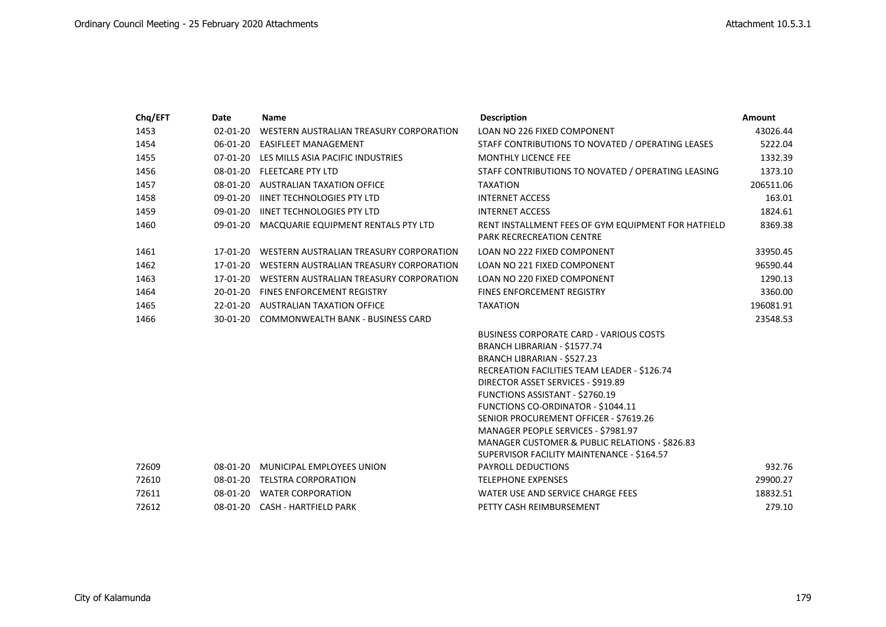| Chq/EFT | <b>Date</b>    | <b>Name</b>                                      | <b>Description</b>                                                                      | <b>Amount</b> |
|---------|----------------|--------------------------------------------------|-----------------------------------------------------------------------------------------|---------------|
| 1453    | $02 - 01 - 20$ | WESTERN AUSTRALIAN TREASURY CORPORATION          | LOAN NO 226 FIXED COMPONENT                                                             | 43026.44      |
| 1454    | 06-01-20       | <b>EASIFLEET MANAGEMENT</b>                      | STAFF CONTRIBUTIONS TO NOVATED / OPERATING LEASES                                       | 5222.04       |
| 1455    | 07-01-20       | LES MILLS ASIA PACIFIC INDUSTRIES                | <b>MONTHLY LICENCE FEE</b>                                                              | 1332.39       |
| 1456    |                | 08-01-20 FLEETCARE PTY LTD                       | STAFF CONTRIBUTIONS TO NOVATED / OPERATING LEASING                                      | 1373.10       |
| 1457    |                | 08-01-20 AUSTRALIAN TAXATION OFFICE              | <b>TAXATION</b>                                                                         | 206511.06     |
| 1458    | 09-01-20       | <b>IINET TECHNOLOGIES PTY LTD</b>                | <b>INTERNET ACCESS</b>                                                                  | 163.01        |
| 1459    | 09-01-20       | <b>IINET TECHNOLOGIES PTY LTD</b>                | <b>INTERNET ACCESS</b>                                                                  | 1824.61       |
| 1460    |                | 09-01-20 MACQUARIE EQUIPMENT RENTALS PTY LTD     | RENT INSTALLMENT FEES OF GYM EQUIPMENT FOR HATFIELD<br><b>PARK RECRECREATION CENTRE</b> | 8369.38       |
| 1461    |                | 17-01-20 WESTERN AUSTRALIAN TREASURY CORPORATION | LOAN NO 222 FIXED COMPONENT                                                             | 33950.45      |
| 1462    |                | 17-01-20 WESTERN AUSTRALIAN TREASURY CORPORATION | LOAN NO 221 FIXED COMPONENT                                                             | 96590.44      |
| 1463    |                | 17-01-20 WESTERN AUSTRALIAN TREASURY CORPORATION | LOAN NO 220 FIXED COMPONENT                                                             | 1290.13       |
| 1464    |                | 20-01-20 FINES ENFORCEMENT REGISTRY              | <b>FINES ENFORCEMENT REGISTRY</b>                                                       | 3360.00       |
| 1465    |                | 22-01-20 AUSTRALIAN TAXATION OFFICE              | <b>TAXATION</b>                                                                         | 196081.91     |
| 1466    |                | 30-01-20 COMMONWEALTH BANK - BUSINESS CARD       |                                                                                         | 23548.53      |
|         |                |                                                  | <b>BUSINESS CORPORATE CARD - VARIOUS COSTS</b>                                          |               |
|         |                |                                                  | BRANCH LIBRARIAN - \$1577.74                                                            |               |
|         |                |                                                  | BRANCH LIBRARIAN - \$527.23                                                             |               |
|         |                |                                                  | RECREATION FACILITIES TEAM LEADER - \$126.74                                            |               |
|         |                |                                                  | DIRECTOR ASSET SERVICES - \$919.89                                                      |               |
|         |                |                                                  | FUNCTIONS ASSISTANT - \$2760.19                                                         |               |
|         |                |                                                  | FUNCTIONS CO-ORDINATOR - \$1044.11                                                      |               |
|         |                |                                                  | SENIOR PROCUREMENT OFFICER - \$7619.26                                                  |               |
|         |                |                                                  | MANAGER PEOPLE SERVICES - \$7981.97<br>MANAGER CUSTOMER & PUBLIC RELATIONS - \$826.83   |               |
|         |                |                                                  | SUPERVISOR FACILITY MAINTENANCE - \$164.57                                              |               |
| 72609   |                | 08-01-20 MUNICIPAL EMPLOYEES UNION               | PAYROLL DEDUCTIONS                                                                      | 932.76        |
| 72610   |                | 08-01-20 TELSTRA CORPORATION                     | <b>TELEPHONE EXPENSES</b>                                                               | 29900.27      |
| 72611   |                | 08-01-20 WATER CORPORATION                       | WATER USE AND SERVICE CHARGE FEES                                                       | 18832.51      |
| 72612   |                | 08-01-20 CASH - HARTFIELD PARK                   | PETTY CASH REIMBURSEMENT                                                                | 279.10        |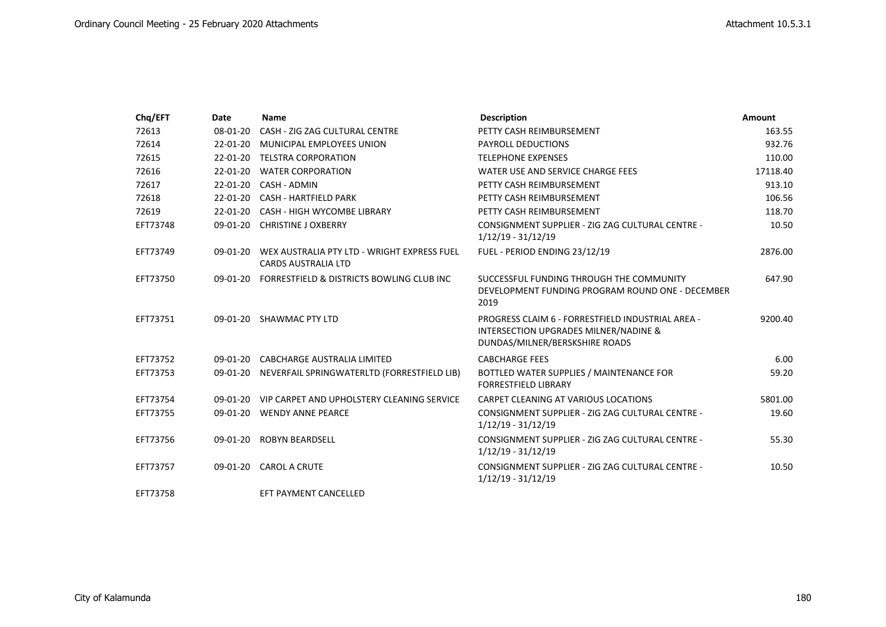| Chq/EFT  | <b>Date</b> | <b>Name</b>                                                               | <b>Description</b>                                                                                                                      | <b>Amount</b> |
|----------|-------------|---------------------------------------------------------------------------|-----------------------------------------------------------------------------------------------------------------------------------------|---------------|
| 72613    | 08-01-20    | CASH - ZIG ZAG CULTURAL CENTRE                                            | PETTY CASH REIMBURSEMENT                                                                                                                | 163.55        |
| 72614    | 22-01-20    | MUNICIPAL EMPLOYEES UNION                                                 | <b>PAYROLL DEDUCTIONS</b>                                                                                                               | 932.76        |
| 72615    |             | 22-01-20 TELSTRA CORPORATION                                              | <b>TELEPHONE EXPENSES</b>                                                                                                               | 110.00        |
| 72616    | 22-01-20    | <b>WATER CORPORATION</b>                                                  | WATER USE AND SERVICE CHARGE FEES                                                                                                       | 17118.40      |
| 72617    | 22-01-20    | CASH - ADMIN                                                              | PETTY CASH REIMBURSEMENT                                                                                                                | 913.10        |
| 72618    |             | 22-01-20 CASH - HARTFIELD PARK                                            | PETTY CASH REIMBURSEMENT                                                                                                                | 106.56        |
| 72619    |             | 22-01-20 CASH - HIGH WYCOMBE LIBRARY                                      | PETTY CASH REIMBURSEMENT                                                                                                                | 118.70        |
| EFT73748 |             | 09-01-20 CHRISTINE J OXBERRY                                              | CONSIGNMENT SUPPLIER - ZIG ZAG CULTURAL CENTRE -<br>$1/12/19 - 31/12/19$                                                                | 10.50         |
| EFT73749 | 09-01-20    | WEX AUSTRALIA PTY LTD - WRIGHT EXPRESS FUEL<br><b>CARDS AUSTRALIA LTD</b> | FUEL - PERIOD ENDING 23/12/19                                                                                                           | 2876.00       |
| EFT73750 | 09-01-20    | FORRESTFIELD & DISTRICTS BOWLING CLUB INC                                 | SUCCESSFUL FUNDING THROUGH THE COMMUNITY<br>DEVELOPMENT FUNDING PROGRAM ROUND ONE - DECEMBER<br>2019                                    | 647.90        |
| EFT73751 |             | 09-01-20 SHAWMAC PTY LTD                                                  | PROGRESS CLAIM 6 - FORRESTFIELD INDUSTRIAL AREA -<br><b>INTERSECTION UPGRADES MILNER/NADINE &amp;</b><br>DUNDAS/MILNER/BERSKSHIRE ROADS | 9200.40       |
| EFT73752 |             | 09-01-20 CABCHARGE AUSTRALIA LIMITED                                      | <b>CABCHARGE FEES</b>                                                                                                                   | 6.00          |
| EFT73753 |             | 09-01-20 NEVERFAIL SPRINGWATERLTD (FORRESTFIELD LIB)                      | BOTTLED WATER SUPPLIES / MAINTENANCE FOR<br><b>FORRESTFIELD LIBRARY</b>                                                                 | 59.20         |
| EFT73754 |             | 09-01-20 VIP CARPET AND UPHOLSTERY CLEANING SERVICE                       | CARPET CLEANING AT VARIOUS LOCATIONS                                                                                                    | 5801.00       |
| EFT73755 |             | 09-01-20 WENDY ANNE PEARCE                                                | CONSIGNMENT SUPPLIER - ZIG ZAG CULTURAL CENTRE -<br>1/12/19 - 31/12/19                                                                  | 19.60         |
| EFT73756 |             | 09-01-20 ROBYN BEARDSELL                                                  | CONSIGNMENT SUPPLIER - ZIG ZAG CULTURAL CENTRE -<br>$1/12/19 - 31/12/19$                                                                | 55.30         |
| EFT73757 |             | 09-01-20 CAROL A CRUTE                                                    | CONSIGNMENT SUPPLIER - ZIG ZAG CULTURAL CENTRE -<br>$1/12/19 - 31/12/19$                                                                | 10.50         |
| EFT73758 |             | EFT PAYMENT CANCELLED                                                     |                                                                                                                                         |               |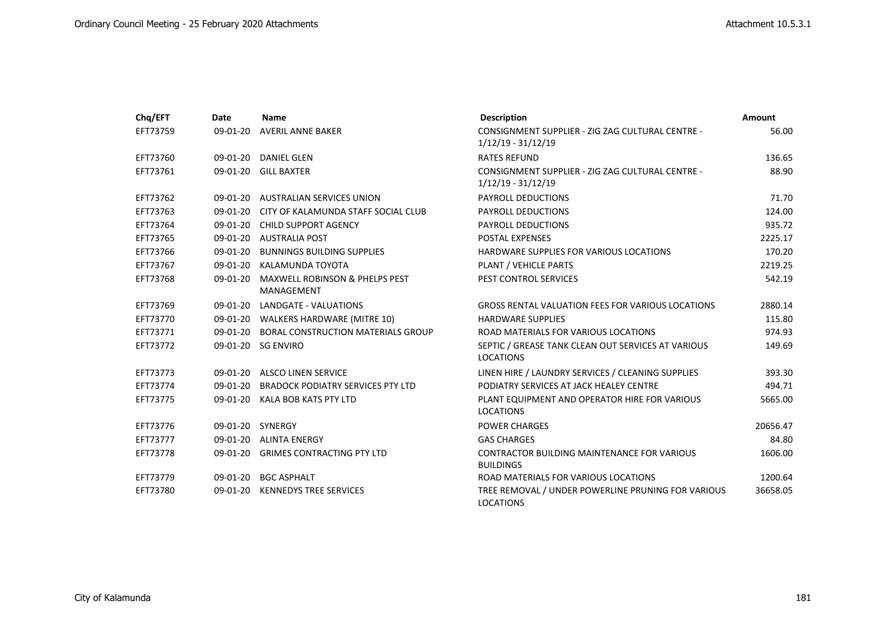| Chq/EFT  | Date       | <b>Name</b>                                             | <b>Description</b>                                                       | <b>Amount</b> |
|----------|------------|---------------------------------------------------------|--------------------------------------------------------------------------|---------------|
| EFT73759 |            | 09-01-20 AVERIL ANNE BAKER                              | CONSIGNMENT SUPPLIER - ZIG ZAG CULTURAL CENTRE -<br>$1/12/19 - 31/12/19$ | 56.00         |
| EFT73760 |            | 09-01-20 DANIEL GLEN                                    | <b>RATES REFUND</b>                                                      | 136.65        |
| EFT73761 |            | 09-01-20 GILL BAXTER                                    | CONSIGNMENT SUPPLIER - ZIG ZAG CULTURAL CENTRE -<br>$1/12/19 - 31/12/19$ | 88.90         |
| EFT73762 |            | 09-01-20 AUSTRALIAN SERVICES UNION                      | <b>PAYROLL DEDUCTIONS</b>                                                | 71.70         |
| EFT73763 |            | 09-01-20 CITY OF KALAMUNDA STAFF SOCIAL CLUB            | PAYROLL DEDUCTIONS                                                       | 124.00        |
| EFT73764 |            | 09-01-20 CHILD SUPPORT AGENCY                           | <b>PAYROLL DEDUCTIONS</b>                                                | 935.72        |
| EFT73765 |            | 09-01-20 AUSTRALIA POST                                 | <b>POSTAL EXPENSES</b>                                                   | 2225.17       |
| EFT73766 | 09-01-20   | <b>BUNNINGS BUILDING SUPPLIES</b>                       | HARDWARE SUPPLIES FOR VARIOUS LOCATIONS                                  | 170.20        |
| EFT73767 | $09-01-20$ | KALAMUNDA TOYOTA                                        | PLANT / VEHICLE PARTS                                                    | 2219.25       |
| EFT73768 | 09-01-20   | <b>MAXWELL ROBINSON &amp; PHELPS PEST</b><br>MANAGEMENT | PEST CONTROL SERVICES                                                    | 542.19        |
| EFT73769 | $09-01-20$ | LANDGATE - VALUATIONS                                   | <b>GROSS RENTAL VALUATION FEES FOR VARIOUS LOCATIONS</b>                 | 2880.14       |
| EFT73770 |            | 09-01-20 WALKERS HARDWARE (MITRE 10)                    | <b>HARDWARE SUPPLIES</b>                                                 | 115.80        |
| EFT73771 |            | 09-01-20 BORAL CONSTRUCTION MATERIALS GROUP             | ROAD MATERIALS FOR VARIOUS LOCATIONS                                     | 974.93        |
| EFT73772 |            | 09-01-20 SG ENVIRO                                      | SEPTIC / GREASE TANK CLEAN OUT SERVICES AT VARIOUS<br><b>LOCATIONS</b>   | 149.69        |
| EFT73773 |            | 09-01-20 ALSCO LINEN SERVICE                            | LINEN HIRE / LAUNDRY SERVICES / CLEANING SUPPLIES                        | 393.30        |
| EFT73774 |            | 09-01-20 BRADOCK PODIATRY SERVICES PTY LTD              | PODIATRY SERVICES AT JACK HEALEY CENTRE                                  | 494.71        |
| EFT73775 |            | 09-01-20 KALA BOB KATS PTY LTD                          | PLANT EQUIPMENT AND OPERATOR HIRE FOR VARIOUS<br><b>LOCATIONS</b>        | 5665.00       |
| EFT73776 |            | 09-01-20 SYNERGY                                        | <b>POWER CHARGES</b>                                                     | 20656.47      |
| EFT73777 |            | 09-01-20 ALINTA ENERGY                                  | <b>GAS CHARGES</b>                                                       | 84.80         |
| EFT73778 |            | 09-01-20 GRIMES CONTRACTING PTY LTD                     | CONTRACTOR BUILDING MAINTENANCE FOR VARIOUS<br><b>BUILDINGS</b>          | 1606.00       |
| EFT73779 |            | 09-01-20 BGC ASPHALT                                    | ROAD MATERIALS FOR VARIOUS LOCATIONS                                     | 1200.64       |
| EFT73780 |            | 09-01-20 KENNEDYS TREE SERVICES                         | TREE REMOVAL / UNDER POWERLINE PRUNING FOR VARIOUS<br><b>LOCATIONS</b>   | 36658.05      |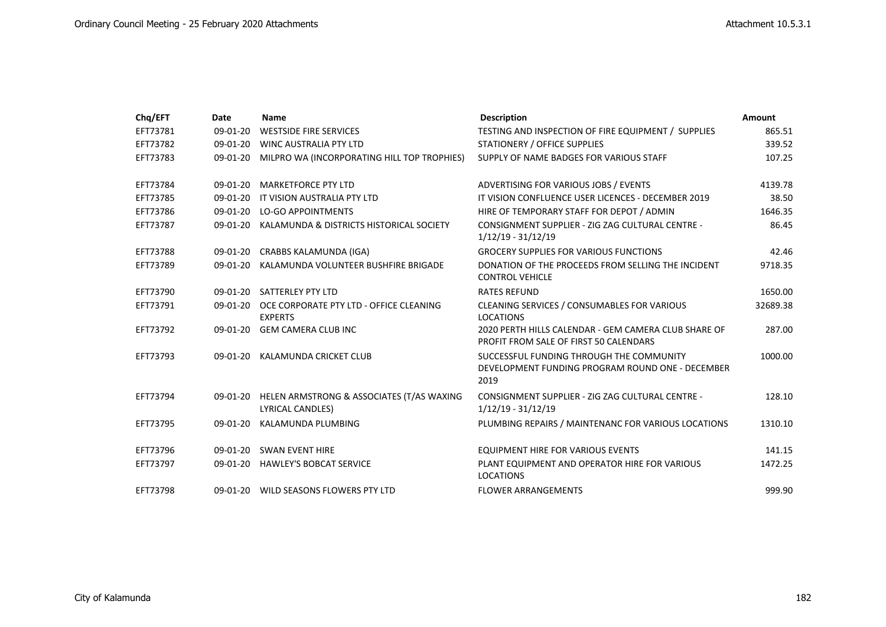| Chq/EFT  | Date       | <b>Name</b>                                                        | <b>Description</b>                                                                                   | <b>Amount</b> |
|----------|------------|--------------------------------------------------------------------|------------------------------------------------------------------------------------------------------|---------------|
| EFT73781 | 09-01-20   | <b>WESTSIDE FIRE SERVICES</b>                                      | TESTING AND INSPECTION OF FIRE EQUIPMENT / SUPPLIES                                                  | 865.51        |
| EFT73782 | 09-01-20   | WINC AUSTRALIA PTY LTD                                             | STATIONERY / OFFICE SUPPLIES                                                                         | 339.52        |
| EFT73783 | 09-01-20   | MILPRO WA (INCORPORATING HILL TOP TROPHIES)                        | SUPPLY OF NAME BADGES FOR VARIOUS STAFF                                                              | 107.25        |
| EFT73784 | 09-01-20   | <b>MARKETFORCE PTY LTD</b>                                         | ADVERTISING FOR VARIOUS JOBS / EVENTS                                                                | 4139.78       |
| EFT73785 | 09-01-20   | IT VISION AUSTRALIA PTY LTD                                        | IT VISION CONFLUENCE USER LICENCES - DECEMBER 2019                                                   | 38.50         |
| EFT73786 | 09-01-20   | <b>LO-GO APPOINTMENTS</b>                                          | HIRE OF TEMPORARY STAFF FOR DEPOT / ADMIN                                                            | 1646.35       |
| EFT73787 | 09-01-20   | KALAMUNDA & DISTRICTS HISTORICAL SOCIETY                           | CONSIGNMENT SUPPLIER - ZIG ZAG CULTURAL CENTRE -<br>$1/12/19 - 31/12/19$                             | 86.45         |
| EFT73788 | 09-01-20   | CRABBS KALAMUNDA (IGA)                                             | <b>GROCERY SUPPLIES FOR VARIOUS FUNCTIONS</b>                                                        | 42.46         |
| EFT73789 | $09-01-20$ | KALAMUNDA VOLUNTEER BUSHFIRE BRIGADE                               | DONATION OF THE PROCEEDS FROM SELLING THE INCIDENT<br><b>CONTROL VEHICLE</b>                         | 9718.35       |
| EFT73790 |            | 09-01-20 SATTERLEY PTY LTD                                         | <b>RATES REFUND</b>                                                                                  | 1650.00       |
| EFT73791 |            | 09-01-20 OCE CORPORATE PTY LTD - OFFICE CLEANING<br><b>EXPERTS</b> | CLEANING SERVICES / CONSUMABLES FOR VARIOUS<br><b>LOCATIONS</b>                                      | 32689.38      |
| EFT73792 | 09-01-20   | <b>GEM CAMERA CLUB INC</b>                                         | 2020 PERTH HILLS CALENDAR - GEM CAMERA CLUB SHARE OF<br>PROFIT FROM SALE OF FIRST 50 CALENDARS       | 287.00        |
| EFT73793 |            | 09-01-20 KALAMUNDA CRICKET CLUB                                    | SUCCESSFUL FUNDING THROUGH THE COMMUNITY<br>DEVELOPMENT FUNDING PROGRAM ROUND ONE - DECEMBER<br>2019 | 1000.00       |
| EFT73794 | 09-01-20   | HELEN ARMSTRONG & ASSOCIATES (T/AS WAXING<br>LYRICAL CANDLES)      | CONSIGNMENT SUPPLIER - ZIG ZAG CULTURAL CENTRE -<br>$1/12/19 - 31/12/19$                             | 128.10        |
| EFT73795 | 09-01-20   | KALAMUNDA PLUMBING                                                 | PLUMBING REPAIRS / MAINTENANC FOR VARIOUS LOCATIONS                                                  | 1310.10       |
| EFT73796 |            | 09-01-20 SWAN EVENT HIRE                                           | EQUIPMENT HIRE FOR VARIOUS EVENTS                                                                    | 141.15        |
| EFT73797 |            | 09-01-20 HAWLEY'S BOBCAT SERVICE                                   | PLANT EQUIPMENT AND OPERATOR HIRE FOR VARIOUS<br><b>LOCATIONS</b>                                    | 1472.25       |
| EFT73798 |            | 09-01-20 WILD SEASONS FLOWERS PTY LTD                              | <b>FLOWER ARRANGEMENTS</b>                                                                           | 999.90        |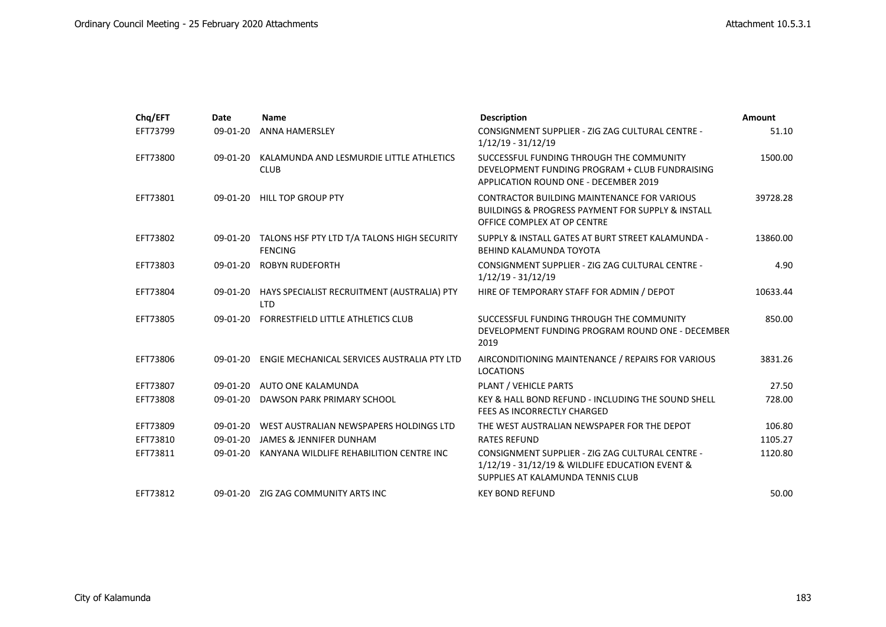| Chq/EFT  | Date       | <b>Name</b>                                                            | <b>Description</b>                                                                                                                             | <b>Amount</b> |
|----------|------------|------------------------------------------------------------------------|------------------------------------------------------------------------------------------------------------------------------------------------|---------------|
| EFT73799 | 09-01-20   | ANNA HAMERSLEY                                                         | CONSIGNMENT SUPPLIER - ZIG ZAG CULTURAL CENTRE -<br>$1/12/19 - 31/12/19$                                                                       | 51.10         |
| EFT73800 | $09-01-20$ | KALAMUNDA AND LESMURDIE LITTLE ATHLETICS<br><b>CLUB</b>                | SUCCESSFUL FUNDING THROUGH THE COMMUNITY<br>DEVELOPMENT FUNDING PROGRAM + CLUB FUNDRAISING<br><b>APPLICATION ROUND ONE - DECEMBER 2019</b>     | 1500.00       |
| EFT73801 | $09-01-20$ | <b>HILL TOP GROUP PTY</b>                                              | CONTRACTOR BUILDING MAINTENANCE FOR VARIOUS<br><b>BUILDINGS &amp; PROGRESS PAYMENT FOR SUPPLY &amp; INSTALL</b><br>OFFICE COMPLEX AT OP CENTRE | 39728.28      |
| EFT73802 |            | 09-01-20 TALONS HSF PTY LTD T/A TALONS HIGH SECURITY<br><b>FENCING</b> | SUPPLY & INSTALL GATES AT BURT STREET KALAMUNDA -<br>BEHIND KALAMUNDA TOYOTA                                                                   | 13860.00      |
| EFT73803 |            | 09-01-20 ROBYN RUDEFORTH                                               | CONSIGNMENT SUPPLIER - ZIG ZAG CULTURAL CENTRE -<br>$1/12/19 - 31/12/19$                                                                       | 4.90          |
| EFT73804 |            | 09-01-20 HAYS SPECIALIST RECRUITMENT (AUSTRALIA) PTY<br><b>LTD</b>     | HIRE OF TEMPORARY STAFF FOR ADMIN / DEPOT                                                                                                      | 10633.44      |
| EFT73805 | $09-01-20$ | <b>FORRESTFIELD LITTLE ATHLETICS CLUB</b>                              | SUCCESSFUL FUNDING THROUGH THE COMMUNITY<br>DEVELOPMENT FUNDING PROGRAM ROUND ONE - DECEMBER<br>2019                                           | 850.00        |
| EFT73806 |            | 09-01-20 ENGIE MECHANICAL SERVICES AUSTRALIA PTY LTD                   | AIRCONDITIONING MAINTENANCE / REPAIRS FOR VARIOUS<br><b>LOCATIONS</b>                                                                          | 3831.26       |
| EFT73807 |            | 09-01-20 AUTO ONE KALAMUNDA                                            | PLANT / VEHICLE PARTS                                                                                                                          | 27.50         |
| EFT73808 | 09-01-20   | DAWSON PARK PRIMARY SCHOOL                                             | KEY & HALL BOND REFUND - INCLUDING THE SOUND SHELL<br>FEES AS INCORRECTLY CHARGED                                                              | 728.00        |
| EFT73809 | 09-01-20   | WEST AUSTRALIAN NEWSPAPERS HOLDINGS LTD                                | THE WEST AUSTRALIAN NEWSPAPER FOR THE DEPOT                                                                                                    | 106.80        |
| EFT73810 | $09-01-20$ | JAMES & JENNIFER DUNHAM                                                | <b>RATES REFUND</b>                                                                                                                            | 1105.27       |
| EFT73811 | 09-01-20   | KANYANA WILDLIFE REHABILITION CENTRE INC                               | CONSIGNMENT SUPPLIER - ZIG ZAG CULTURAL CENTRE -<br>1/12/19 - 31/12/19 & WILDLIFE EDUCATION EVENT &<br>SUPPLIES AT KALAMUNDA TENNIS CLUB       | 1120.80       |
| EFT73812 |            | 09-01-20 ZIG ZAG COMMUNITY ARTS INC                                    | <b>KEY BOND REFUND</b>                                                                                                                         | 50.00         |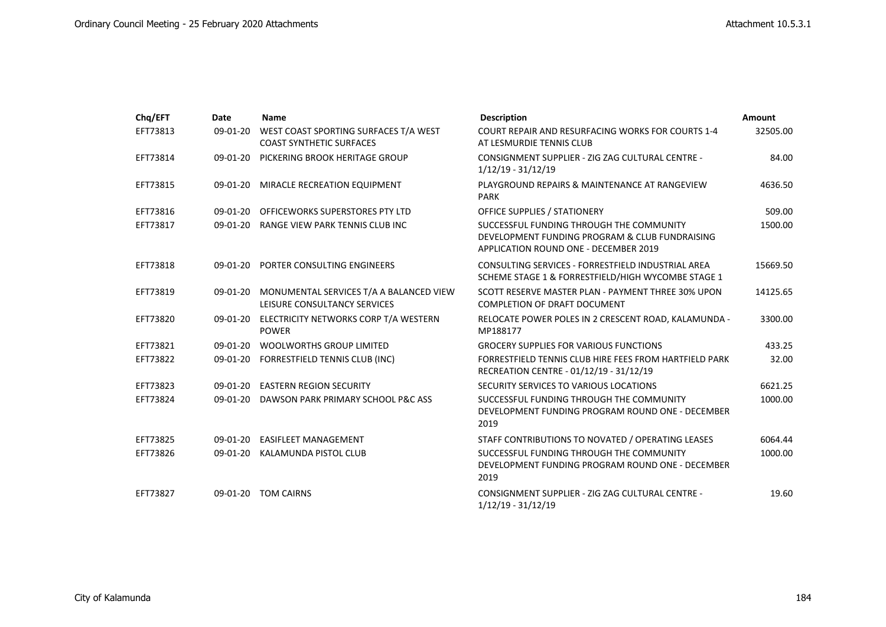| Chq/EFT  | Date       | <b>Name</b>                                                              | <b>Description</b>                                                                                                                  | <b>Amount</b> |
|----------|------------|--------------------------------------------------------------------------|-------------------------------------------------------------------------------------------------------------------------------------|---------------|
| EFT73813 | 09-01-20   | WEST COAST SPORTING SURFACES T/A WEST<br><b>COAST SYNTHETIC SURFACES</b> | COURT REPAIR AND RESURFACING WORKS FOR COURTS 1-4<br>AT LESMURDIE TENNIS CLUB                                                       | 32505.00      |
| EFT73814 | $09-01-20$ | PICKERING BROOK HERITAGE GROUP                                           | CONSIGNMENT SUPPLIER - ZIG ZAG CULTURAL CENTRE -<br>$1/12/19 - 31/12/19$                                                            | 84.00         |
| EFT73815 |            | 09-01-20 MIRACLE RECREATION EQUIPMENT                                    | PLAYGROUND REPAIRS & MAINTENANCE AT RANGEVIEW<br><b>PARK</b>                                                                        | 4636.50       |
| EFT73816 | 09-01-20   | OFFICEWORKS SUPERSTORES PTY LTD                                          | OFFICE SUPPLIES / STATIONERY                                                                                                        | 509.00        |
| EFT73817 |            | 09-01-20 RANGE VIEW PARK TENNIS CLUB INC                                 | SUCCESSFUL FUNDING THROUGH THE COMMUNITY<br>DEVELOPMENT FUNDING PROGRAM & CLUB FUNDRAISING<br>APPLICATION ROUND ONE - DECEMBER 2019 | 1500.00       |
| EFT73818 | 09-01-20   | PORTER CONSULTING ENGINEERS                                              | CONSULTING SERVICES - FORRESTFIELD INDUSTRIAL AREA<br>SCHEME STAGE 1 & FORRESTFIELD/HIGH WYCOMBE STAGE 1                            | 15669.50      |
| EFT73819 | 09-01-20   | MONUMENTAL SERVICES T/A A BALANCED VIEW<br>LEISURE CONSULTANCY SERVICES  | SCOTT RESERVE MASTER PLAN - PAYMENT THREE 30% UPON<br><b>COMPLETION OF DRAFT DOCUMENT</b>                                           | 14125.65      |
| EFT73820 | 09-01-20   | ELECTRICITY NETWORKS CORP T/A WESTERN<br><b>POWER</b>                    | RELOCATE POWER POLES IN 2 CRESCENT ROAD, KALAMUNDA -<br>MP188177                                                                    | 3300.00       |
| EFT73821 | 09-01-20   | <b>WOOLWORTHS GROUP LIMITED</b>                                          | <b>GROCERY SUPPLIES FOR VARIOUS FUNCTIONS</b>                                                                                       | 433.25        |
| EFT73822 |            | 09-01-20 FORRESTFIELD TENNIS CLUB (INC)                                  | FORRESTFIELD TENNIS CLUB HIRE FEES FROM HARTFIELD PARK<br>RECREATION CENTRE - 01/12/19 - 31/12/19                                   | 32.00         |
| EFT73823 |            | 09-01-20 EASTERN REGION SECURITY                                         | SECURITY SERVICES TO VARIOUS LOCATIONS                                                                                              | 6621.25       |
| EFT73824 | 09-01-20   | DAWSON PARK PRIMARY SCHOOL P&C ASS                                       | SUCCESSFUL FUNDING THROUGH THE COMMUNITY<br>DEVELOPMENT FUNDING PROGRAM ROUND ONE - DECEMBER<br>2019                                | 1000.00       |
| EFT73825 |            | 09-01-20 EASIFLEET MANAGEMENT                                            | STAFF CONTRIBUTIONS TO NOVATED / OPERATING LEASES                                                                                   | 6064.44       |
| EFT73826 |            | 09-01-20 KALAMUNDA PISTOL CLUB                                           | SUCCESSFUL FUNDING THROUGH THE COMMUNITY<br>DEVELOPMENT FUNDING PROGRAM ROUND ONE - DECEMBER<br>2019                                | 1000.00       |
| EFT73827 | 09-01-20   | <b>TOM CAIRNS</b>                                                        | CONSIGNMENT SUPPLIER - ZIG ZAG CULTURAL CENTRE -<br>$1/12/19 - 31/12/19$                                                            | 19.60         |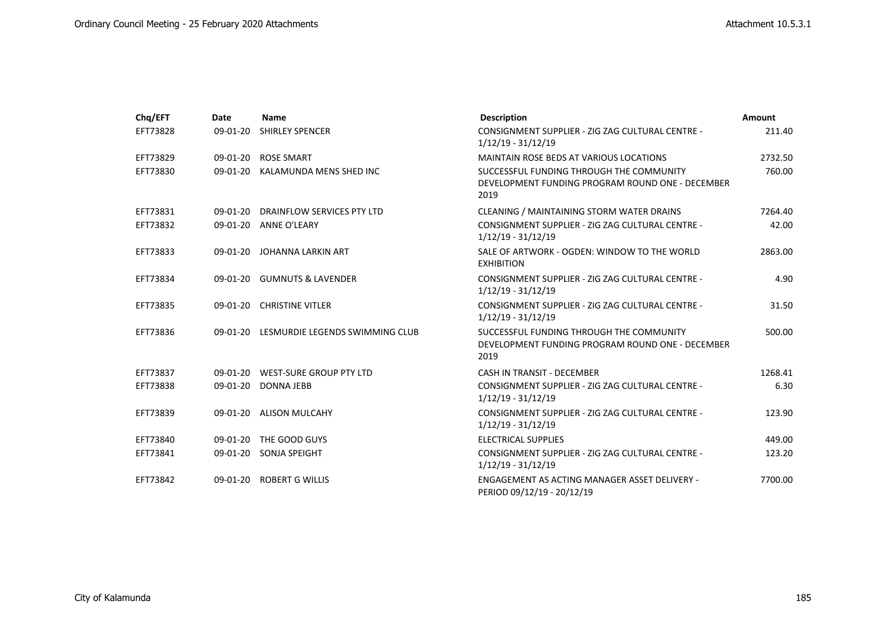| Chq/EFT  | Date     | Name                                     | <b>Description</b>                                                                                   | Amount  |
|----------|----------|------------------------------------------|------------------------------------------------------------------------------------------------------|---------|
| EFT73828 | 09-01-20 | <b>SHIRLEY SPENCER</b>                   | CONSIGNMENT SUPPLIER - ZIG ZAG CULTURAL CENTRE -<br>$1/12/19 - 31/12/19$                             | 211.40  |
| EFT73829 |          | 09-01-20 ROSE SMART                      | MAINTAIN ROSE BEDS AT VARIOUS LOCATIONS                                                              | 2732.50 |
| EFT73830 |          | 09-01-20 KALAMUNDA MENS SHED INC         | SUCCESSFUL FUNDING THROUGH THE COMMUNITY<br>DEVELOPMENT FUNDING PROGRAM ROUND ONE - DECEMBER<br>2019 | 760.00  |
| EFT73831 |          | 09-01-20 DRAINFLOW SERVICES PTY LTD      | CLEANING / MAINTAINING STORM WATER DRAINS                                                            | 7264.40 |
| EFT73832 |          | 09-01-20 ANNE O'LEARY                    | CONSIGNMENT SUPPLIER - ZIG ZAG CULTURAL CENTRE -<br>$1/12/19 - 31/12/19$                             | 42.00   |
| EFT73833 |          | 09-01-20 JOHANNA LARKIN ART              | SALE OF ARTWORK - OGDEN: WINDOW TO THE WORLD<br><b>EXHIBITION</b>                                    | 2863.00 |
| EFT73834 |          | 09-01-20 GUMNUTS & LAVENDER              | CONSIGNMENT SUPPLIER - ZIG ZAG CULTURAL CENTRE -<br>$1/12/19 - 31/12/19$                             | 4.90    |
| EFT73835 |          | 09-01-20 CHRISTINE VITLER                | CONSIGNMENT SUPPLIER - ZIG ZAG CULTURAL CENTRE -<br>$1/12/19 - 31/12/19$                             | 31.50   |
| EFT73836 |          | 09-01-20 LESMURDIE LEGENDS SWIMMING CLUB | SUCCESSFUL FUNDING THROUGH THE COMMUNITY<br>DEVELOPMENT FUNDING PROGRAM ROUND ONE - DECEMBER<br>2019 | 500.00  |
| EFT73837 |          | 09-01-20 WEST-SURE GROUP PTY LTD         | CASH IN TRANSIT - DECEMBER                                                                           | 1268.41 |
| EFT73838 |          | 09-01-20 DONNA JEBB                      | CONSIGNMENT SUPPLIER - ZIG ZAG CULTURAL CENTRE -<br>$1/12/19 - 31/12/19$                             | 6.30    |
| EFT73839 |          | 09-01-20 ALISON MULCAHY                  | CONSIGNMENT SUPPLIER - ZIG ZAG CULTURAL CENTRE -<br>$1/12/19 - 31/12/19$                             | 123.90  |
| EFT73840 |          | 09-01-20 THE GOOD GUYS                   | <b>ELECTRICAL SUPPLIES</b>                                                                           | 449.00  |
| EFT73841 |          | 09-01-20 SONJA SPEIGHT                   | CONSIGNMENT SUPPLIER - ZIG ZAG CULTURAL CENTRE -<br>$1/12/19 - 31/12/19$                             | 123.20  |
| EFT73842 |          | 09-01-20 ROBERT G WILLIS                 | ENGAGEMENT AS ACTING MANAGER ASSET DELIVERY -<br>PERIOD 09/12/19 - 20/12/19                          | 7700.00 |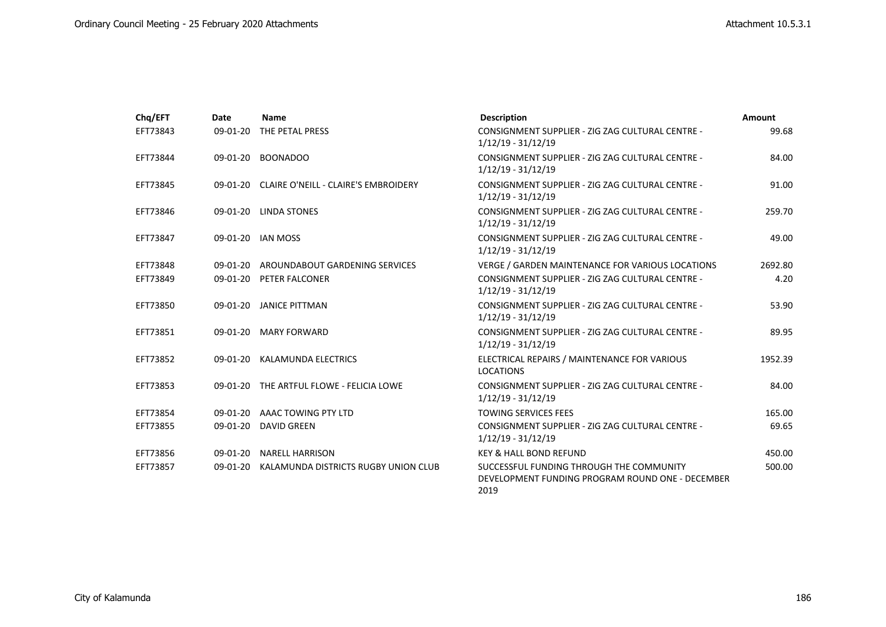| Chq/EFT  | Date     | <b>Name</b>                                   | <b>Description</b>                                                                                   | <b>Amount</b> |
|----------|----------|-----------------------------------------------|------------------------------------------------------------------------------------------------------|---------------|
| EFT73843 | 09-01-20 | THE PETAL PRESS                               | CONSIGNMENT SUPPLIER - ZIG ZAG CULTURAL CENTRE -<br>$1/12/19 - 31/12/19$                             | 99.68         |
| EFT73844 | 09-01-20 | <b>BOONADOO</b>                               | CONSIGNMENT SUPPLIER - ZIG ZAG CULTURAL CENTRE -<br>$1/12/19 - 31/12/19$                             | 84.00         |
| EFT73845 |          | 09-01-20 CLAIRE O'NEILL - CLAIRE'S EMBROIDERY | CONSIGNMENT SUPPLIER - ZIG ZAG CULTURAL CENTRE -<br>$1/12/19 - 31/12/19$                             | 91.00         |
| EFT73846 |          | 09-01-20 LINDA STONES                         | CONSIGNMENT SUPPLIER - ZIG ZAG CULTURAL CENTRE -<br>$1/12/19 - 31/12/19$                             | 259.70        |
| EFT73847 |          | 09-01-20 IAN MOSS                             | CONSIGNMENT SUPPLIER - ZIG ZAG CULTURAL CENTRE -<br>$1/12/19 - 31/12/19$                             | 49.00         |
| EFT73848 |          | 09-01-20 AROUNDABOUT GARDENING SERVICES       | VERGE / GARDEN MAINTENANCE FOR VARIOUS LOCATIONS                                                     | 2692.80       |
| EFT73849 |          | 09-01-20 PETER FALCONER                       | CONSIGNMENT SUPPLIER - ZIG ZAG CULTURAL CENTRE -<br>$1/12/19 - 31/12/19$                             | 4.20          |
| EFT73850 |          | 09-01-20 JANICE PITTMAN                       | CONSIGNMENT SUPPLIER - ZIG ZAG CULTURAL CENTRE -<br>$1/12/19 - 31/12/19$                             | 53.90         |
| EFT73851 |          | 09-01-20 MARY FORWARD                         | CONSIGNMENT SUPPLIER - ZIG ZAG CULTURAL CENTRE -<br>$1/12/19 - 31/12/19$                             | 89.95         |
| EFT73852 |          | 09-01-20 KALAMUNDA ELECTRICS                  | ELECTRICAL REPAIRS / MAINTENANCE FOR VARIOUS<br><b>LOCATIONS</b>                                     | 1952.39       |
| EFT73853 |          | 09-01-20 THE ARTFUL FLOWE - FELICIA LOWE      | CONSIGNMENT SUPPLIER - ZIG ZAG CULTURAL CENTRE -<br>$1/12/19 - 31/12/19$                             | 84.00         |
| EFT73854 |          | 09-01-20 AAAC TOWING PTY LTD                  | <b>TOWING SERVICES FEES</b>                                                                          | 165.00        |
| EFT73855 |          | 09-01-20 DAVID GREEN                          | CONSIGNMENT SUPPLIER - ZIG ZAG CULTURAL CENTRE -<br>$1/12/19 - 31/12/19$                             | 69.65         |
| EFT73856 | 09-01-20 | <b>NARELL HARRISON</b>                        | <b>KEY &amp; HALL BOND REFUND</b>                                                                    | 450.00        |
| EFT73857 |          | 09-01-20 KALAMUNDA DISTRICTS RUGBY UNION CLUB | SUCCESSFUL FUNDING THROUGH THE COMMUNITY<br>DEVELOPMENT FUNDING PROGRAM ROUND ONE - DECEMBER<br>2019 | 500.00        |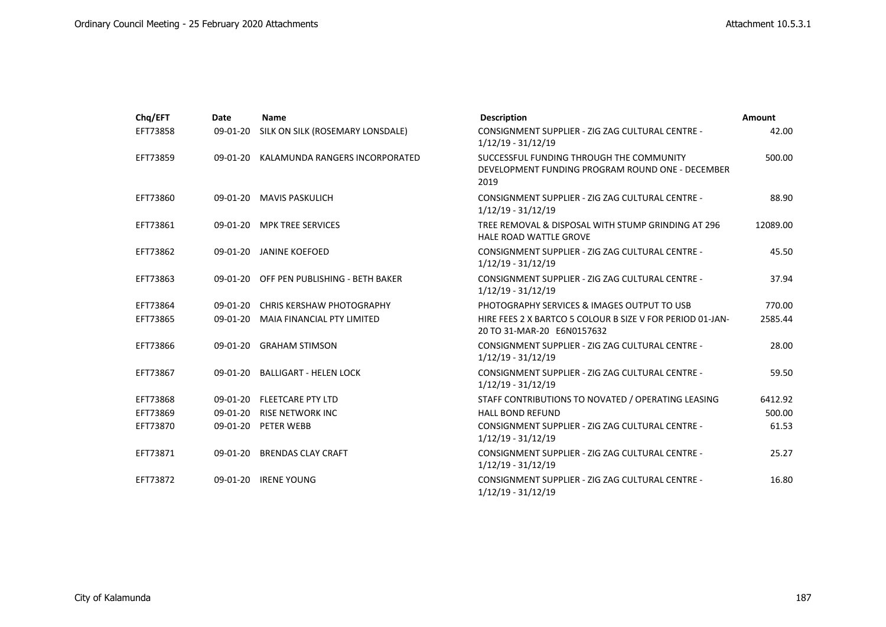| Chq/EFT  | Date       | <b>Name</b>                      | <b>Description</b>                                                                                   | Amount   |
|----------|------------|----------------------------------|------------------------------------------------------------------------------------------------------|----------|
| EFT73858 | 09-01-20   | SILK ON SILK (ROSEMARY LONSDALE) | CONSIGNMENT SUPPLIER - ZIG ZAG CULTURAL CENTRE -<br>$1/12/19 - 31/12/19$                             | 42.00    |
| EFT73859 | 09-01-20   | KALAMUNDA RANGERS INCORPORATED   | SUCCESSFUL FUNDING THROUGH THE COMMUNITY<br>DEVELOPMENT FUNDING PROGRAM ROUND ONE - DECEMBER<br>2019 | 500.00   |
| EFT73860 | 09-01-20   | <b>MAVIS PASKULICH</b>           | CONSIGNMENT SUPPLIER - ZIG ZAG CULTURAL CENTRE -<br>$1/12/19 - 31/12/19$                             | 88.90    |
| EFT73861 |            | 09-01-20 MPK TREE SERVICES       | TREE REMOVAL & DISPOSAL WITH STUMP GRINDING AT 296<br><b>HALE ROAD WATTLE GROVE</b>                  | 12089.00 |
| EFT73862 |            | 09-01-20 JANINE KOEFOED          | CONSIGNMENT SUPPLIER - ZIG ZAG CULTURAL CENTRE -<br>$1/12/19 - 31/12/19$                             | 45.50    |
| EFT73863 | 09-01-20   | OFF PEN PUBLISHING - BETH BAKER  | CONSIGNMENT SUPPLIER - ZIG ZAG CULTURAL CENTRE -<br>$1/12/19 - 31/12/19$                             | 37.94    |
| EFT73864 | $09-01-20$ | <b>CHRIS KERSHAW PHOTOGRAPHY</b> | PHOTOGRAPHY SERVICES & IMAGES OUTPUT TO USB                                                          | 770.00   |
| EFT73865 | 09-01-20   | MAIA FINANCIAL PTY LIMITED       | HIRE FEES 2 X BARTCO 5 COLOUR B SIZE V FOR PERIOD 01-JAN-<br>20 TO 31-MAR-20 E6N0157632              | 2585.44  |
| EFT73866 | 09-01-20   | <b>GRAHAM STIMSON</b>            | CONSIGNMENT SUPPLIER - ZIG ZAG CULTURAL CENTRE -<br>$1/12/19 - 31/12/19$                             | 28.00    |
| EFT73867 | 09-01-20   | <b>BALLIGART - HELEN LOCK</b>    | CONSIGNMENT SUPPLIER - ZIG ZAG CULTURAL CENTRE -<br>$1/12/19 - 31/12/19$                             | 59.50    |
| EFT73868 |            | 09-01-20 FLEETCARE PTY LTD       | STAFF CONTRIBUTIONS TO NOVATED / OPERATING LEASING                                                   | 6412.92  |
| EFT73869 | 09-01-20   | <b>RISE NETWORK INC</b>          | <b>HALL BOND REFUND</b>                                                                              | 500.00   |
| EFT73870 |            | 09-01-20 PETER WEBB              | CONSIGNMENT SUPPLIER - ZIG ZAG CULTURAL CENTRE -<br>$1/12/19 - 31/12/19$                             | 61.53    |
| EFT73871 | 09-01-20   | <b>BRENDAS CLAY CRAFT</b>        | CONSIGNMENT SUPPLIER - ZIG ZAG CULTURAL CENTRE -<br>$1/12/19 - 31/12/19$                             | 25.27    |
| EFT73872 | $09-01-20$ | <b>IRENE YOUNG</b>               | CONSIGNMENT SUPPLIER - ZIG ZAG CULTURAL CENTRE -<br>$1/12/19 - 31/12/19$                             | 16.80    |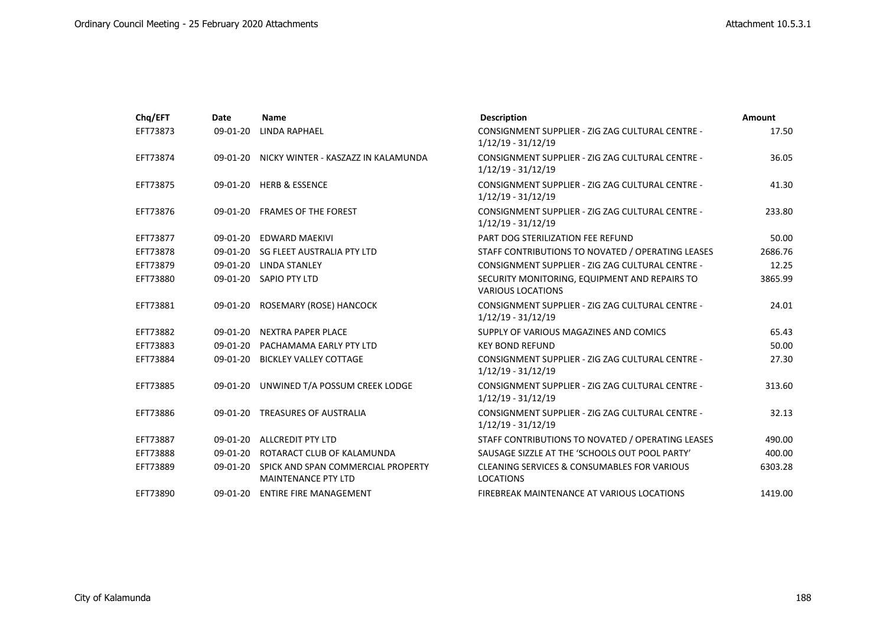| Chq/EFT  | Date       | <b>Name</b>                                                      | <b>Description</b>                                                         | <b>Amount</b> |
|----------|------------|------------------------------------------------------------------|----------------------------------------------------------------------------|---------------|
| EFT73873 | 09-01-20   | LINDA RAPHAEL                                                    | CONSIGNMENT SUPPLIER - ZIG ZAG CULTURAL CENTRE -<br>$1/12/19 - 31/12/19$   | 17.50         |
| EFT73874 |            | 09-01-20 NICKY WINTER - KASZAZZ IN KALAMUNDA                     | CONSIGNMENT SUPPLIER - ZIG ZAG CULTURAL CENTRE -<br>$1/12/19 - 31/12/19$   | 36.05         |
| EFT73875 |            | 09-01-20 HERB & ESSENCE                                          | CONSIGNMENT SUPPLIER - ZIG ZAG CULTURAL CENTRE -<br>$1/12/19 - 31/12/19$   | 41.30         |
| EFT73876 |            | 09-01-20 FRAMES OF THE FOREST                                    | CONSIGNMENT SUPPLIER - ZIG ZAG CULTURAL CENTRE -<br>$1/12/19 - 31/12/19$   | 233.80        |
| EFT73877 | 09-01-20   | EDWARD MAEKIVI                                                   | PART DOG STERILIZATION FEE REFUND                                          | 50.00         |
| EFT73878 |            | 09-01-20 SG FLEET AUSTRALIA PTY LTD                              | STAFF CONTRIBUTIONS TO NOVATED / OPERATING LEASES                          | 2686.76       |
| EFT73879 |            | 09-01-20 LINDA STANLEY                                           | CONSIGNMENT SUPPLIER - ZIG ZAG CULTURAL CENTRE -                           | 12.25         |
| EFT73880 |            | 09-01-20 SAPIO PTY LTD                                           | SECURITY MONITORING, EQUIPMENT AND REPAIRS TO<br><b>VARIOUS LOCATIONS</b>  | 3865.99       |
| EFT73881 |            | 09-01-20 ROSEMARY (ROSE) HANCOCK                                 | CONSIGNMENT SUPPLIER - ZIG ZAG CULTURAL CENTRE -<br>$1/12/19 - 31/12/19$   | 24.01         |
| EFT73882 | 09-01-20   | <b>NEXTRA PAPER PLACE</b>                                        | SUPPLY OF VARIOUS MAGAZINES AND COMICS                                     | 65.43         |
| EFT73883 | $09-01-20$ | PACHAMAMA EARLY PTY LTD                                          | <b>KEY BOND REFUND</b>                                                     | 50.00         |
| EFT73884 | 09-01-20   | <b>BICKLEY VALLEY COTTAGE</b>                                    | CONSIGNMENT SUPPLIER - ZIG ZAG CULTURAL CENTRE -<br>$1/12/19 - 31/12/19$   | 27.30         |
| EFT73885 | 09-01-20   | UNWINED T/A POSSUM CREEK LODGE                                   | CONSIGNMENT SUPPLIER - ZIG ZAG CULTURAL CENTRE -<br>$1/12/19 - 31/12/19$   | 313.60        |
| EFT73886 |            | 09-01-20 TREASURES OF AUSTRALIA                                  | CONSIGNMENT SUPPLIER - ZIG ZAG CULTURAL CENTRE -<br>$1/12/19 - 31/12/19$   | 32.13         |
| EFT73887 |            | 09-01-20 ALLCREDIT PTY LTD                                       | STAFF CONTRIBUTIONS TO NOVATED / OPERATING LEASES                          | 490.00        |
| EFT73888 | 09-01-20   | ROTARACT CLUB OF KALAMUNDA                                       | SAUSAGE SIZZLE AT THE 'SCHOOLS OUT POOL PARTY'                             | 400.00        |
| EFT73889 | 09-01-20   | SPICK AND SPAN COMMERCIAL PROPERTY<br><b>MAINTENANCE PTY LTD</b> | <b>CLEANING SERVICES &amp; CONSUMABLES FOR VARIOUS</b><br><b>LOCATIONS</b> | 6303.28       |
| EFT73890 | 09-01-20   | <b>ENTIRE FIRE MANAGEMENT</b>                                    | FIREBREAK MAINTENANCE AT VARIOUS LOCATIONS                                 | 1419.00       |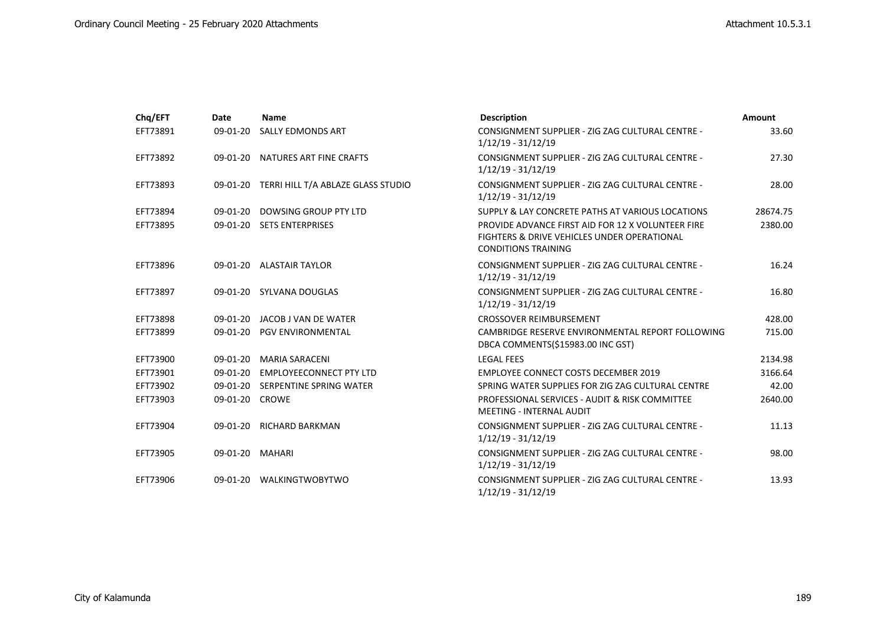| Chq/EFT  | Date           | Name                                        | <b>Description</b>                                                                                                                        | Amount   |
|----------|----------------|---------------------------------------------|-------------------------------------------------------------------------------------------------------------------------------------------|----------|
| EFT73891 | 09-01-20       | SALLY EDMONDS ART                           | CONSIGNMENT SUPPLIER - ZIG ZAG CULTURAL CENTRE -<br>$1/12/19 - 31/12/19$                                                                  | 33.60    |
| EFT73892 | 09-01-20       | NATURES ART FINE CRAFTS                     | CONSIGNMENT SUPPLIER - ZIG ZAG CULTURAL CENTRE -<br>$1/12/19 - 31/12/19$                                                                  | 27.30    |
| EFT73893 |                | 09-01-20 TERRI HILL T/A ABLAZE GLASS STUDIO | CONSIGNMENT SUPPLIER - ZIG ZAG CULTURAL CENTRE -<br>$1/12/19 - 31/12/19$                                                                  | 28.00    |
| EFT73894 | 09-01-20       | DOWSING GROUP PTY LTD                       | SUPPLY & LAY CONCRETE PATHS AT VARIOUS LOCATIONS                                                                                          | 28674.75 |
| EFT73895 |                | 09-01-20 SETS ENTERPRISES                   | PROVIDE ADVANCE FIRST AID FOR 12 X VOLUNTEER FIRE<br><b>FIGHTERS &amp; DRIVE VEHICLES UNDER OPERATIONAL</b><br><b>CONDITIONS TRAINING</b> | 2380.00  |
| EFT73896 |                | 09-01-20 ALASTAIR TAYLOR                    | CONSIGNMENT SUPPLIER - ZIG ZAG CULTURAL CENTRE -<br>$1/12/19 - 31/12/19$                                                                  | 16.24    |
| EFT73897 |                | 09-01-20 SYLVANA DOUGLAS                    | CONSIGNMENT SUPPLIER - ZIG ZAG CULTURAL CENTRE -<br>$1/12/19 - 31/12/19$                                                                  | 16.80    |
| EFT73898 |                | 09-01-20 JACOB J VAN DE WATER               | <b>CROSSOVER REIMBURSEMENT</b>                                                                                                            | 428.00   |
| EFT73899 |                | 09-01-20 PGV ENVIRONMENTAL                  | CAMBRIDGE RESERVE ENVIRONMENTAL REPORT FOLLOWING<br>DBCA COMMENTS(\$15983.00 INC GST)                                                     | 715.00   |
| EFT73900 | 09-01-20       | <b>MARIA SARACENI</b>                       | <b>LEGAL FEES</b>                                                                                                                         | 2134.98  |
| EFT73901 | $09-01-20$     | <b>EMPLOYEECONNECT PTY LTD</b>              | <b>EMPLOYEE CONNECT COSTS DECEMBER 2019</b>                                                                                               | 3166.64  |
| EFT73902 |                | 09-01-20 SERPENTINE SPRING WATER            | SPRING WATER SUPPLIES FOR ZIG ZAG CULTURAL CENTRE                                                                                         | 42.00    |
| EFT73903 | 09-01-20 CROWE |                                             | PROFESSIONAL SERVICES - AUDIT & RISK COMMITTEE<br><b>MEETING - INTERNAL AUDIT</b>                                                         | 2640.00  |
| EFT73904 |                | 09-01-20 RICHARD BARKMAN                    | CONSIGNMENT SUPPLIER - ZIG ZAG CULTURAL CENTRE -<br>$1/12/19 - 31/12/19$                                                                  | 11.13    |
| EFT73905 | 09-01-20       | MAHARI                                      | CONSIGNMENT SUPPLIER - ZIG ZAG CULTURAL CENTRE -<br>$1/12/19 - 31/12/19$                                                                  | 98.00    |
| EFT73906 |                | 09-01-20 WALKINGTWOBYTWO                    | CONSIGNMENT SUPPLIER - ZIG ZAG CULTURAL CENTRE -<br>$1/12/19 - 31/12/19$                                                                  | 13.93    |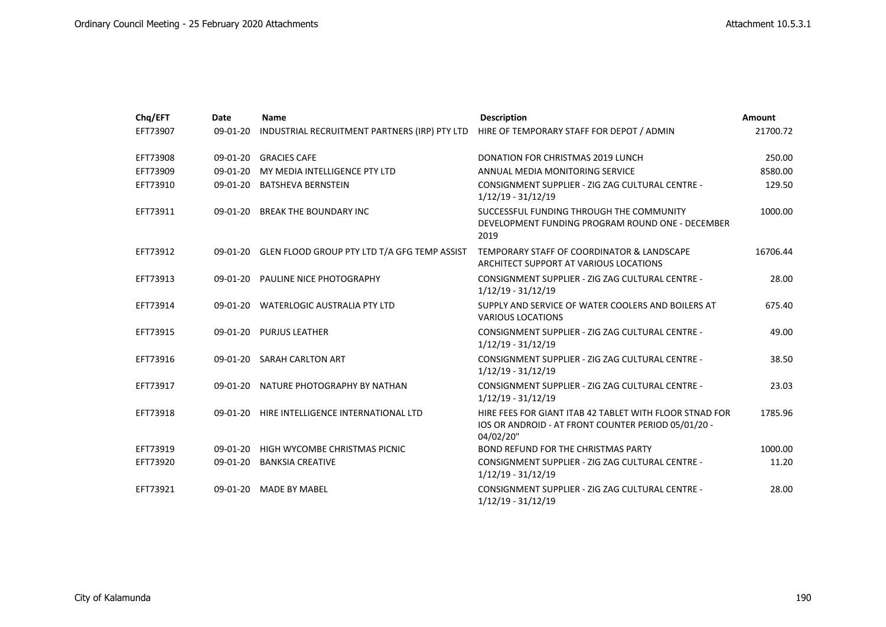| Chq/EFT  | Date     | <b>Name</b>                                   | <b>Description</b>                                                                                                          | Amount   |
|----------|----------|-----------------------------------------------|-----------------------------------------------------------------------------------------------------------------------------|----------|
| EFT73907 | 09-01-20 | INDUSTRIAL RECRUITMENT PARTNERS (IRP) PTY LTD | HIRE OF TEMPORARY STAFF FOR DEPOT / ADMIN                                                                                   | 21700.72 |
| EFT73908 | 09-01-20 | <b>GRACIES CAFE</b>                           | <b>DONATION FOR CHRISTMAS 2019 LUNCH</b>                                                                                    | 250.00   |
| EFT73909 |          | 09-01-20 MY MEDIA INTELLIGENCE PTY LTD        | ANNUAL MEDIA MONITORING SERVICE                                                                                             | 8580.00  |
| EFT73910 |          | 09-01-20 BATSHEVA BERNSTEIN                   | CONSIGNMENT SUPPLIER - ZIG ZAG CULTURAL CENTRE -<br>$1/12/19 - 31/12/19$                                                    | 129.50   |
| EFT73911 | 09-01-20 | <b>BREAK THE BOUNDARY INC</b>                 | SUCCESSFUL FUNDING THROUGH THE COMMUNITY<br>DEVELOPMENT FUNDING PROGRAM ROUND ONE - DECEMBER<br>2019                        | 1000.00  |
| EFT73912 | 09-01-20 | GLEN FLOOD GROUP PTY LTD T/A GFG TEMP ASSIST  | TEMPORARY STAFF OF COORDINATOR & LANDSCAPE<br>ARCHITECT SUPPORT AT VARIOUS LOCATIONS                                        | 16706.44 |
| EFT73913 |          | 09-01-20 PAULINE NICE PHOTOGRAPHY             | CONSIGNMENT SUPPLIER - ZIG ZAG CULTURAL CENTRE -<br>$1/12/19 - 31/12/19$                                                    | 28.00    |
| EFT73914 | 09-01-20 | <b>WATERLOGIC AUSTRALIA PTY LTD</b>           | SUPPLY AND SERVICE OF WATER COOLERS AND BOILERS AT<br><b>VARIOUS LOCATIONS</b>                                              | 675.40   |
| EFT73915 |          | 09-01-20 PURJUS LEATHER                       | CONSIGNMENT SUPPLIER - ZIG ZAG CULTURAL CENTRE -<br>$1/12/19 - 31/12/19$                                                    | 49.00    |
| EFT73916 | 09-01-20 | <b>SARAH CARLTON ART</b>                      | CONSIGNMENT SUPPLIER - ZIG ZAG CULTURAL CENTRE -<br>$1/12/19 - 31/12/19$                                                    | 38.50    |
| EFT73917 | 09-01-20 | NATURE PHOTOGRAPHY BY NATHAN                  | CONSIGNMENT SUPPLIER - ZIG ZAG CULTURAL CENTRE -<br>$1/12/19 - 31/12/19$                                                    | 23.03    |
| EFT73918 |          | 09-01-20 HIRE INTELLIGENCE INTERNATIONAL LTD  | HIRE FEES FOR GIANT ITAB 42 TABLET WITH FLOOR STNAD FOR<br>IOS OR ANDROID - AT FRONT COUNTER PERIOD 05/01/20 -<br>04/02/20" | 1785.96  |
| EFT73919 | 09-01-20 | HIGH WYCOMBE CHRISTMAS PICNIC                 | <b>BOND REFUND FOR THE CHRISTMAS PARTY</b>                                                                                  | 1000.00  |
| EFT73920 | 09-01-20 | <b>BANKSIA CREATIVE</b>                       | CONSIGNMENT SUPPLIER - ZIG ZAG CULTURAL CENTRE -<br>$1/12/19 - 31/12/19$                                                    | 11.20    |
| EFT73921 | 09-01-20 | <b>MADE BY MABEL</b>                          | CONSIGNMENT SUPPLIER - ZIG ZAG CULTURAL CENTRE -<br>$1/12/19 - 31/12/19$                                                    | 28.00    |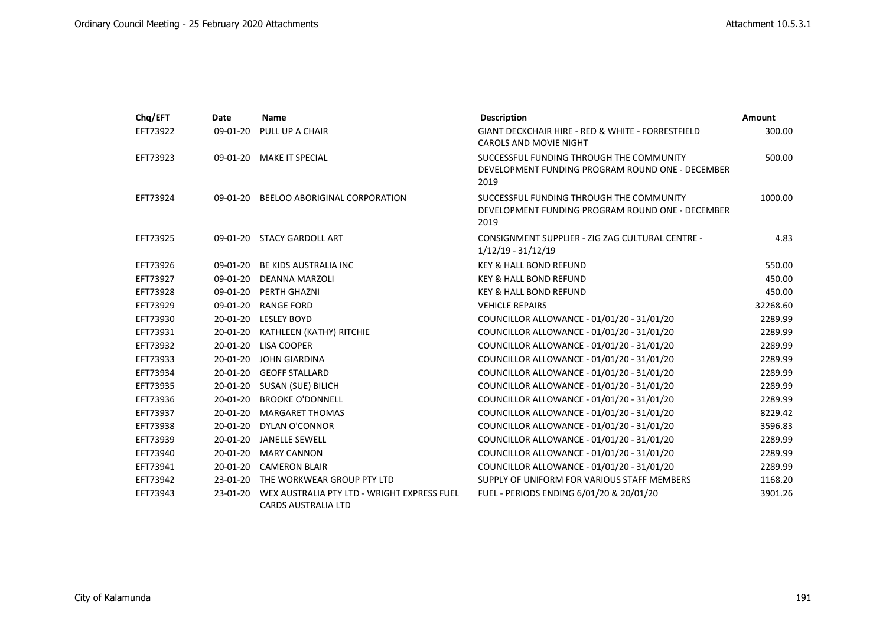| Chq/EFT  | Date       | <b>Name</b>                                                               | <b>Description</b>                                                                                   | <b>Amount</b> |
|----------|------------|---------------------------------------------------------------------------|------------------------------------------------------------------------------------------------------|---------------|
| EFT73922 | 09-01-20   | PULL UP A CHAIR                                                           | <b>GIANT DECKCHAIR HIRE - RED &amp; WHITE - FORRESTFIELD</b><br><b>CAROLS AND MOVIE NIGHT</b>        | 300.00        |
| EFT73923 |            | 09-01-20 MAKE IT SPECIAL                                                  | SUCCESSFUL FUNDING THROUGH THE COMMUNITY<br>DEVELOPMENT FUNDING PROGRAM ROUND ONE - DECEMBER<br>2019 | 500.00        |
| EFT73924 |            | 09-01-20 BEELOO ABORIGINAL CORPORATION                                    | SUCCESSFUL FUNDING THROUGH THE COMMUNITY<br>DEVELOPMENT FUNDING PROGRAM ROUND ONE - DECEMBER<br>2019 | 1000.00       |
| EFT73925 |            | 09-01-20 STACY GARDOLL ART                                                | CONSIGNMENT SUPPLIER - ZIG ZAG CULTURAL CENTRE -<br>$1/12/19 - 31/12/19$                             | 4.83          |
| EFT73926 | 09-01-20   | BE KIDS AUSTRALIA INC                                                     | <b>KEY &amp; HALL BOND REFUND</b>                                                                    | 550.00        |
| EFT73927 | 09-01-20   | DEANNA MARZOLI                                                            | <b>KEY &amp; HALL BOND REFUND</b>                                                                    | 450.00        |
| EFT73928 | 09-01-20   | PERTH GHAZNI                                                              | <b>KEY &amp; HALL BOND REFUND</b>                                                                    | 450.00        |
| EFT73929 | 09-01-20   | <b>RANGE FORD</b>                                                         | <b>VEHICLE REPAIRS</b>                                                                               | 32268.60      |
| EFT73930 | 20-01-20   | <b>LESLEY BOYD</b>                                                        | COUNCILLOR ALLOWANCE - 01/01/20 - 31/01/20                                                           | 2289.99       |
| EFT73931 | 20-01-20   | KATHLEEN (KATHY) RITCHIE                                                  | COUNCILLOR ALLOWANCE - 01/01/20 - 31/01/20                                                           | 2289.99       |
| EFT73932 | 20-01-20   | LISA COOPER                                                               | COUNCILLOR ALLOWANCE - 01/01/20 - 31/01/20                                                           | 2289.99       |
| EFT73933 | 20-01-20   | JOHN GIARDINA                                                             | COUNCILLOR ALLOWANCE - 01/01/20 - 31/01/20                                                           | 2289.99       |
| EFT73934 |            | 20-01-20 GEOFF STALLARD                                                   | COUNCILLOR ALLOWANCE - 01/01/20 - 31/01/20                                                           | 2289.99       |
| EFT73935 |            | 20-01-20 SUSAN (SUE) BILICH                                               | COUNCILLOR ALLOWANCE - 01/01/20 - 31/01/20                                                           | 2289.99       |
| EFT73936 | 20-01-20   | <b>BROOKE O'DONNELL</b>                                                   | COUNCILLOR ALLOWANCE - 01/01/20 - 31/01/20                                                           | 2289.99       |
| EFT73937 | 20-01-20   | <b>MARGARET THOMAS</b>                                                    | COUNCILLOR ALLOWANCE - 01/01/20 - 31/01/20                                                           | 8229.42       |
| EFT73938 | 20-01-20   | DYLAN O'CONNOR                                                            | COUNCILLOR ALLOWANCE - 01/01/20 - 31/01/20                                                           | 3596.83       |
| EFT73939 | 20-01-20   | <b>JANELLE SEWELL</b>                                                     | COUNCILLOR ALLOWANCE - 01/01/20 - 31/01/20                                                           | 2289.99       |
| EFT73940 | 20-01-20   | <b>MARY CANNON</b>                                                        | COUNCILLOR ALLOWANCE - 01/01/20 - 31/01/20                                                           | 2289.99       |
| EFT73941 | 20-01-20   | <b>CAMERON BLAIR</b>                                                      | COUNCILLOR ALLOWANCE - 01/01/20 - 31/01/20                                                           | 2289.99       |
| EFT73942 | 23-01-20   | THE WORKWEAR GROUP PTY LTD                                                | SUPPLY OF UNIFORM FOR VARIOUS STAFF MEMBERS                                                          | 1168.20       |
| EFT73943 | $23-01-20$ | WEX AUSTRALIA PTY LTD - WRIGHT EXPRESS FUEL<br><b>CARDS AUSTRALIA LTD</b> | FUEL - PERIODS ENDING 6/01/20 & 20/01/20                                                             | 3901.26       |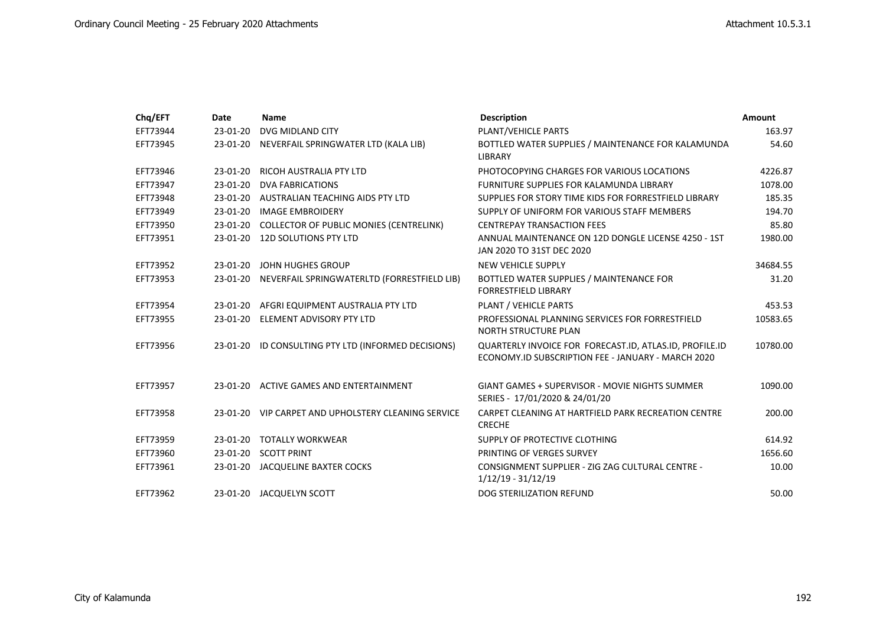| Chq/EFT  | Date     | <b>Name</b>                                          | <b>Description</b>                                                                                            | <b>Amount</b> |
|----------|----------|------------------------------------------------------|---------------------------------------------------------------------------------------------------------------|---------------|
| EFT73944 | 23-01-20 | DVG MIDLAND CITY                                     | PLANT/VEHICLE PARTS                                                                                           | 163.97        |
| EFT73945 |          | 23-01-20 NEVERFAIL SPRINGWATER LTD (KALA LIB)        | BOTTLED WATER SUPPLIES / MAINTENANCE FOR KALAMUNDA<br><b>LIBRARY</b>                                          | 54.60         |
| EFT73946 | 23-01-20 | <b>RICOH AUSTRALIA PTY LTD</b>                       | PHOTOCOPYING CHARGES FOR VARIOUS LOCATIONS                                                                    | 4226.87       |
| EFT73947 | 23-01-20 | <b>DVA FABRICATIONS</b>                              | FURNITURE SUPPLIES FOR KALAMUNDA LIBRARY                                                                      | 1078.00       |
| EFT73948 |          | 23-01-20 AUSTRALIAN TEACHING AIDS PTY LTD            | SUPPLIES FOR STORY TIME KIDS FOR FORRESTFIELD LIBRARY                                                         | 185.35        |
| EFT73949 |          | 23-01-20 IMAGE EMBROIDERY                            | SUPPLY OF UNIFORM FOR VARIOUS STAFF MEMBERS                                                                   | 194.70        |
| EFT73950 |          | 23-01-20 COLLECTOR OF PUBLIC MONIES (CENTRELINK)     | <b>CENTREPAY TRANSACTION FEES</b>                                                                             | 85.80         |
| EFT73951 |          | 23-01-20 12D SOLUTIONS PTY LTD                       | ANNUAL MAINTENANCE ON 12D DONGLE LICENSE 4250 - 1ST<br>JAN 2020 TO 31ST DEC 2020                              | 1980.00       |
| EFT73952 |          | 23-01-20 JOHN HUGHES GROUP                           | <b>NEW VEHICLE SUPPLY</b>                                                                                     | 34684.55      |
| EFT73953 |          | 23-01-20 NEVERFAIL SPRINGWATERLTD (FORRESTFIELD LIB) | BOTTLED WATER SUPPLIES / MAINTENANCE FOR<br><b>FORRESTFIELD LIBRARY</b>                                       | 31.20         |
| EFT73954 | 23-01-20 | AFGRI EQUIPMENT AUSTRALIA PTY LTD                    | PLANT / VEHICLE PARTS                                                                                         | 453.53        |
| EFT73955 |          | 23-01-20 ELEMENT ADVISORY PTY LTD                    | PROFESSIONAL PLANNING SERVICES FOR FORRESTFIELD<br><b>NORTH STRUCTURE PLAN</b>                                | 10583.65      |
| EFT73956 |          | 23-01-20 ID CONSULTING PTY LTD (INFORMED DECISIONS)  | QUARTERLY INVOICE FOR FORECAST.ID, ATLAS.ID, PROFILE.ID<br>ECONOMY.ID SUBSCRIPTION FEE - JANUARY - MARCH 2020 | 10780.00      |
| EFT73957 |          | 23-01-20 ACTIVE GAMES AND ENTERTAINMENT              | <b>GIANT GAMES + SUPERVISOR - MOVIE NIGHTS SUMMER</b><br>SERIES - 17/01/2020 & 24/01/20                       | 1090.00       |
| EFT73958 |          | 23-01-20 VIP CARPET AND UPHOLSTERY CLEANING SERVICE  | CARPET CLEANING AT HARTFIELD PARK RECREATION CENTRE<br><b>CRECHE</b>                                          | 200.00        |
| EFT73959 |          | 23-01-20 TOTALLY WORKWEAR                            | SUPPLY OF PROTECTIVE CLOTHING                                                                                 | 614.92        |
| EFT73960 |          | 23-01-20 SCOTT PRINT                                 | PRINTING OF VERGES SURVEY                                                                                     | 1656.60       |
| EFT73961 |          | 23-01-20 JACQUELINE BAXTER COCKS                     | CONSIGNMENT SUPPLIER - ZIG ZAG CULTURAL CENTRE -<br>$1/12/19 - 31/12/19$                                      | 10.00         |
| EFT73962 |          | 23-01-20 JACQUELYN SCOTT                             | DOG STERILIZATION REFUND                                                                                      | 50.00         |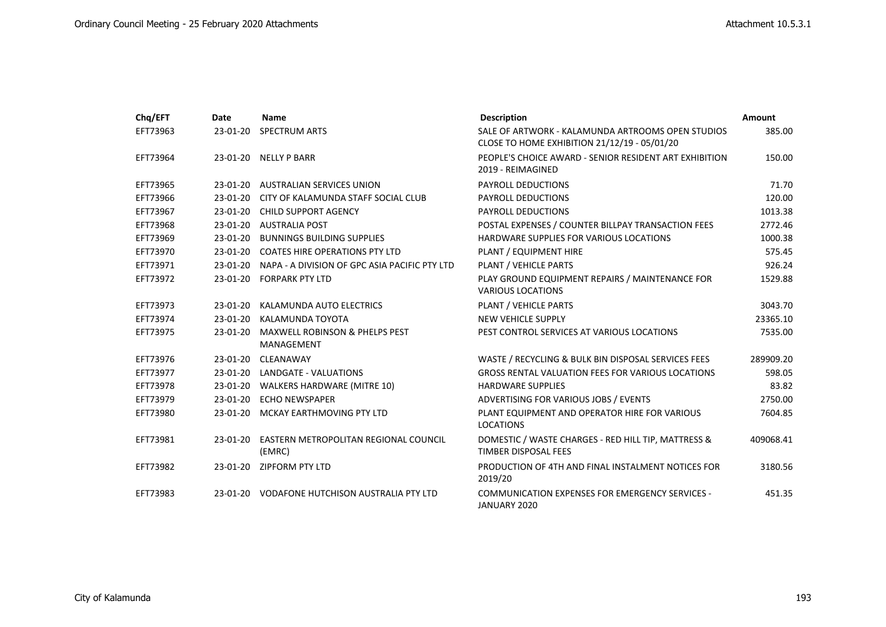| Chq/EFT  | Date     | <b>Name</b>                                             | <b>Description</b>                                                                                | <b>Amount</b> |
|----------|----------|---------------------------------------------------------|---------------------------------------------------------------------------------------------------|---------------|
| EFT73963 | 23-01-20 | SPECTRUM ARTS                                           | SALE OF ARTWORK - KALAMUNDA ARTROOMS OPEN STUDIOS<br>CLOSE TO HOME EXHIBITION 21/12/19 - 05/01/20 | 385.00        |
| EFT73964 |          | 23-01-20 NELLY P BARR                                   | PEOPLE'S CHOICE AWARD - SENIOR RESIDENT ART EXHIBITION<br>2019 - REIMAGINED                       | 150.00        |
| EFT73965 |          | 23-01-20 AUSTRALIAN SERVICES UNION                      | <b>PAYROLL DEDUCTIONS</b>                                                                         | 71.70         |
| EFT73966 | 23-01-20 | CITY OF KALAMUNDA STAFF SOCIAL CLUB                     | <b>PAYROLL DEDUCTIONS</b>                                                                         | 120.00        |
| EFT73967 | 23-01-20 | <b>CHILD SUPPORT AGENCY</b>                             | <b>PAYROLL DEDUCTIONS</b>                                                                         | 1013.38       |
| EFT73968 |          | 23-01-20 AUSTRALIA POST                                 | POSTAL EXPENSES / COUNTER BILLPAY TRANSACTION FEES                                                | 2772.46       |
| EFT73969 |          | 23-01-20 BUNNINGS BUILDING SUPPLIES                     | HARDWARE SUPPLIES FOR VARIOUS LOCATIONS                                                           | 1000.38       |
| EFT73970 |          | 23-01-20 COATES HIRE OPERATIONS PTY LTD                 | PLANT / EQUIPMENT HIRE                                                                            | 575.45        |
| EFT73971 |          | 23-01-20 NAPA - A DIVISION OF GPC ASIA PACIFIC PTY LTD  | PLANT / VEHICLE PARTS                                                                             | 926.24        |
| EFT73972 |          | 23-01-20 FORPARK PTY LTD                                | PLAY GROUND EQUIPMENT REPAIRS / MAINTENANCE FOR<br><b>VARIOUS LOCATIONS</b>                       | 1529.88       |
| EFT73973 | 23-01-20 | KALAMUNDA AUTO ELECTRICS                                | PLANT / VEHICLE PARTS                                                                             | 3043.70       |
| EFT73974 |          | 23-01-20 KALAMUNDA TOYOTA                               | <b>NEW VEHICLE SUPPLY</b>                                                                         | 23365.10      |
| EFT73975 | 23-01-20 | <b>MAXWELL ROBINSON &amp; PHELPS PEST</b><br>MANAGEMENT | PEST CONTROL SERVICES AT VARIOUS LOCATIONS                                                        | 7535.00       |
| EFT73976 | 23-01-20 | CLEANAWAY                                               | WASTE / RECYCLING & BULK BIN DISPOSAL SERVICES FEES                                               | 289909.20     |
| EFT73977 |          | 23-01-20 LANDGATE - VALUATIONS                          | <b>GROSS RENTAL VALUATION FEES FOR VARIOUS LOCATIONS</b>                                          | 598.05        |
| EFT73978 |          | 23-01-20 WALKERS HARDWARE (MITRE 10)                    | <b>HARDWARE SUPPLIES</b>                                                                          | 83.82         |
| EFT73979 |          | 23-01-20 ECHO NEWSPAPER                                 | ADVERTISING FOR VARIOUS JOBS / EVENTS                                                             | 2750.00       |
| EFT73980 |          | 23-01-20 MCKAY EARTHMOVING PTY LTD                      | PLANT EQUIPMENT AND OPERATOR HIRE FOR VARIOUS<br><b>LOCATIONS</b>                                 | 7604.85       |
| EFT73981 | 23-01-20 | EASTERN METROPOLITAN REGIONAL COUNCIL<br>(EMRC)         | DOMESTIC / WASTE CHARGES - RED HILL TIP, MATTRESS &<br><b>TIMBER DISPOSAL FEES</b>                | 409068.41     |
| EFT73982 |          | 23-01-20 ZIPFORM PTY LTD                                | PRODUCTION OF 4TH AND FINAL INSTALMENT NOTICES FOR<br>2019/20                                     | 3180.56       |
| EFT73983 |          | 23-01-20 VODAFONE HUTCHISON AUSTRALIA PTY LTD           | COMMUNICATION EXPENSES FOR EMERGENCY SERVICES -<br>JANUARY 2020                                   | 451.35        |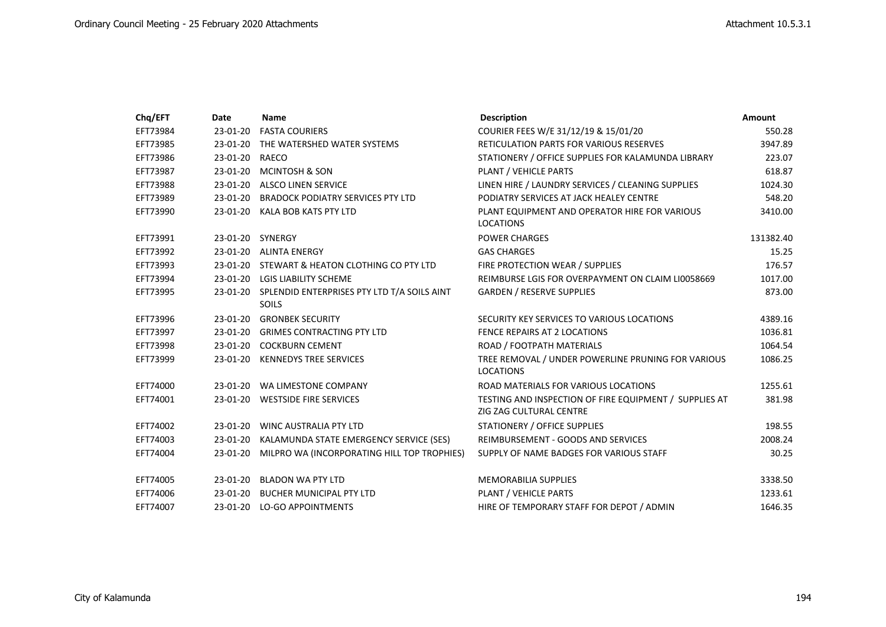| Chq/EFT  | Date           | <b>Name</b>                                                   | <b>Description</b>                                                                | Amount    |
|----------|----------------|---------------------------------------------------------------|-----------------------------------------------------------------------------------|-----------|
| EFT73984 | 23-01-20       | <b>FASTA COURIERS</b>                                         | COURIER FEES W/E 31/12/19 & 15/01/20                                              | 550.28    |
| EFT73985 |                | 23-01-20 THE WATERSHED WATER SYSTEMS                          | <b>RETICULATION PARTS FOR VARIOUS RESERVES</b>                                    | 3947.89   |
| EFT73986 | 23-01-20 RAECO |                                                               | STATIONERY / OFFICE SUPPLIES FOR KALAMUNDA LIBRARY                                | 223.07    |
| EFT73987 |                | 23-01-20 MCINTOSH & SON                                       | PLANT / VEHICLE PARTS                                                             | 618.87    |
| EFT73988 |                | 23-01-20 ALSCO LINEN SERVICE                                  | LINEN HIRE / LAUNDRY SERVICES / CLEANING SUPPLIES                                 | 1024.30   |
| EFT73989 |                | 23-01-20 BRADOCK PODIATRY SERVICES PTY LTD                    | PODIATRY SERVICES AT JACK HEALEY CENTRE                                           | 548.20    |
| EFT73990 |                | 23-01-20 KALA BOB KATS PTY LTD                                | PLANT EQUIPMENT AND OPERATOR HIRE FOR VARIOUS<br><b>LOCATIONS</b>                 | 3410.00   |
| EFT73991 |                | 23-01-20 SYNERGY                                              | <b>POWER CHARGES</b>                                                              | 131382.40 |
| EFT73992 |                | 23-01-20 ALINTA ENERGY                                        | <b>GAS CHARGES</b>                                                                | 15.25     |
| EFT73993 |                | 23-01-20 STEWART & HEATON CLOTHING CO PTY LTD                 | FIRE PROTECTION WEAR / SUPPLIES                                                   | 176.57    |
| EFT73994 |                | 23-01-20 LGIS LIABILITY SCHEME                                | REIMBURSE LGIS FOR OVERPAYMENT ON CLAIM LI0058669                                 | 1017.00   |
| EFT73995 |                | 23-01-20 SPLENDID ENTERPRISES PTY LTD T/A SOILS AINT<br>SOILS | <b>GARDEN / RESERVE SUPPLIES</b>                                                  | 873.00    |
| EFT73996 | 23-01-20       | <b>GRONBEK SECURITY</b>                                       | SECURITY KEY SERVICES TO VARIOUS LOCATIONS                                        | 4389.16   |
| EFT73997 |                | 23-01-20 GRIMES CONTRACTING PTY LTD                           | FENCE REPAIRS AT 2 LOCATIONS                                                      | 1036.81   |
| EFT73998 |                | 23-01-20 COCKBURN CEMENT                                      | ROAD / FOOTPATH MATERIALS                                                         | 1064.54   |
| EFT73999 |                | 23-01-20 KENNEDYS TREE SERVICES                               | TREE REMOVAL / UNDER POWERLINE PRUNING FOR VARIOUS<br><b>LOCATIONS</b>            | 1086.25   |
| EFT74000 |                | 23-01-20 WA LIMESTONE COMPANY                                 | ROAD MATERIALS FOR VARIOUS LOCATIONS                                              | 1255.61   |
| EFT74001 |                | 23-01-20 WESTSIDE FIRE SERVICES                               | TESTING AND INSPECTION OF FIRE EQUIPMENT / SUPPLIES AT<br>ZIG ZAG CULTURAL CENTRE | 381.98    |
| EFT74002 |                | 23-01-20 WINC AUSTRALIA PTY LTD                               | STATIONERY / OFFICE SUPPLIES                                                      | 198.55    |
| EFT74003 |                | 23-01-20 KALAMUNDA STATE EMERGENCY SERVICE (SES)              | REIMBURSEMENT - GOODS AND SERVICES                                                | 2008.24   |
| EFT74004 | 23-01-20       | MILPRO WA (INCORPORATING HILL TOP TROPHIES)                   | SUPPLY OF NAME BADGES FOR VARIOUS STAFF                                           | 30.25     |
| EFT74005 | 23-01-20       | BLADON WA PTY LTD                                             | <b>MEMORABILIA SUPPLIES</b>                                                       | 3338.50   |
| EFT74006 |                | 23-01-20 BUCHER MUNICIPAL PTY LTD                             | PLANT / VEHICLE PARTS                                                             | 1233.61   |
| EFT74007 |                | 23-01-20 LO-GO APPOINTMENTS                                   | HIRE OF TEMPORARY STAFF FOR DEPOT / ADMIN                                         | 1646.35   |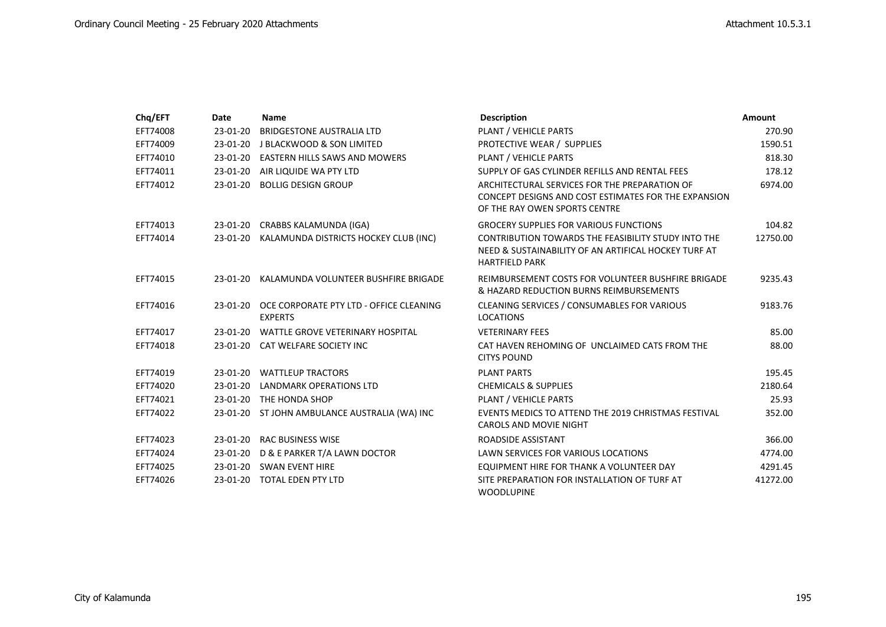| Chq/EFT  | Date       | <b>Name</b>                                                        | <b>Description</b>                                                                                                                     | <b>Amount</b> |
|----------|------------|--------------------------------------------------------------------|----------------------------------------------------------------------------------------------------------------------------------------|---------------|
| EFT74008 | 23-01-20   | BRIDGESTONE AUSTRALIA LTD                                          | PLANT / VEHICLE PARTS                                                                                                                  | 270.90        |
| EFT74009 | 23-01-20   | J BLACKWOOD & SON LIMITED                                          | PROTECTIVE WEAR / SUPPLIES                                                                                                             | 1590.51       |
| EFT74010 |            | 23-01-20 EASTERN HILLS SAWS AND MOWERS                             | PLANT / VEHICLE PARTS                                                                                                                  | 818.30        |
| EFT74011 | 23-01-20   | AIR LIQUIDE WA PTY LTD                                             | SUPPLY OF GAS CYLINDER REFILLS AND RENTAL FEES                                                                                         | 178.12        |
| EFT74012 | 23-01-20   | <b>BOLLIG DESIGN GROUP</b>                                         | ARCHITECTURAL SERVICES FOR THE PREPARATION OF<br>CONCEPT DESIGNS AND COST ESTIMATES FOR THE EXPANSION<br>OF THE RAY OWEN SPORTS CENTRE | 6974.00       |
| EFT74013 |            | 23-01-20 CRABBS KALAMUNDA (IGA)                                    | <b>GROCERY SUPPLIES FOR VARIOUS FUNCTIONS</b>                                                                                          | 104.82        |
| EFT74014 |            | 23-01-20 KALAMUNDA DISTRICTS HOCKEY CLUB (INC)                     | CONTRIBUTION TOWARDS THE FEASIBILITY STUDY INTO THE<br>NEED & SUSTAINABILITY OF AN ARTIFICAL HOCKEY TURF AT<br><b>HARTFIELD PARK</b>   | 12750.00      |
| EFT74015 | 23-01-20   | KALAMUNDA VOLUNTEER BUSHFIRE BRIGADE                               | REIMBURSEMENT COSTS FOR VOLUNTEER BUSHFIRE BRIGADE<br>& HAZARD REDUCTION BURNS REIMBURSEMENTS                                          | 9235.43       |
| EFT74016 |            | 23-01-20 OCE CORPORATE PTY LTD - OFFICE CLEANING<br><b>EXPERTS</b> | <b>CLEANING SERVICES / CONSUMABLES FOR VARIOUS</b><br><b>LOCATIONS</b>                                                                 | 9183.76       |
| EFT74017 |            | 23-01-20 WATTLE GROVE VETERINARY HOSPITAL                          | <b>VETERINARY FEES</b>                                                                                                                 | 85.00         |
| EFT74018 |            | 23-01-20 CAT WELFARE SOCIETY INC                                   | CAT HAVEN REHOMING OF UNCLAIMED CATS FROM THE<br><b>CITYS POUND</b>                                                                    | 88.00         |
| EFT74019 |            | 23-01-20 WATTLEUP TRACTORS                                         | <b>PLANT PARTS</b>                                                                                                                     | 195.45        |
| EFT74020 | 23-01-20   | LANDMARK OPERATIONS LTD                                            | <b>CHEMICALS &amp; SUPPLIES</b>                                                                                                        | 2180.64       |
| EFT74021 |            | 23-01-20 THE HONDA SHOP                                            | PLANT / VEHICLE PARTS                                                                                                                  | 25.93         |
| EFT74022 |            | 23-01-20 ST JOHN AMBULANCE AUSTRALIA (WA) INC                      | EVENTS MEDICS TO ATTEND THE 2019 CHRISTMAS FESTIVAL<br><b>CAROLS AND MOVIE NIGHT</b>                                                   | 352.00        |
| EFT74023 |            | 23-01-20 RAC BUSINESS WISE                                         | ROADSIDE ASSISTANT                                                                                                                     | 366.00        |
| EFT74024 |            | 23-01-20 D & E PARKER T/A LAWN DOCTOR                              | LAWN SERVICES FOR VARIOUS LOCATIONS                                                                                                    | 4774.00       |
| EFT74025 |            | 23-01-20 SWAN EVENT HIRE                                           | EQUIPMENT HIRE FOR THANK A VOLUNTEER DAY                                                                                               | 4291.45       |
| EFT74026 | $23-01-20$ | <b>TOTAL EDEN PTY LTD</b>                                          | SITE PREPARATION FOR INSTALLATION OF TURF AT<br><b>WOODLUPINE</b>                                                                      | 41272.00      |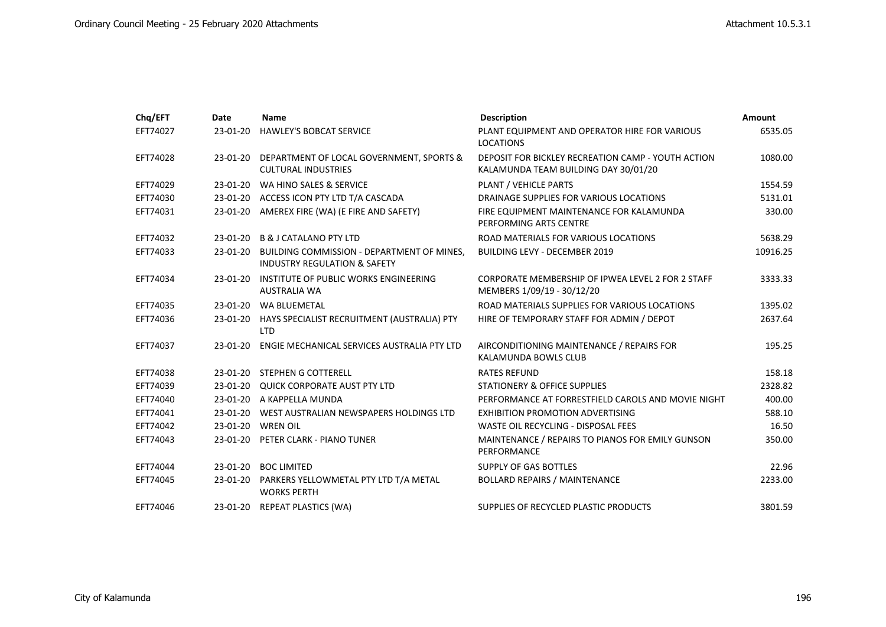| Chq/EFT  | Date     | <b>Name</b>                                                                           | <b>Description</b>                                                                         | Amount   |
|----------|----------|---------------------------------------------------------------------------------------|--------------------------------------------------------------------------------------------|----------|
| EFT74027 | 23-01-20 | <b>HAWLEY'S BOBCAT SERVICE</b>                                                        | PLANT EQUIPMENT AND OPERATOR HIRE FOR VARIOUS<br><b>LOCATIONS</b>                          | 6535.05  |
| EFT74028 | 23-01-20 | DEPARTMENT OF LOCAL GOVERNMENT, SPORTS &<br><b>CULTURAL INDUSTRIES</b>                | DEPOSIT FOR BICKLEY RECREATION CAMP - YOUTH ACTION<br>KALAMUNDA TEAM BUILDING DAY 30/01/20 | 1080.00  |
| EFT74029 | 23-01-20 | WA HINO SALES & SERVICE                                                               | <b>PLANT / VEHICLE PARTS</b>                                                               | 1554.59  |
| EFT74030 |          | 23-01-20 ACCESS ICON PTY LTD T/A CASCADA                                              | DRAINAGE SUPPLIES FOR VARIOUS LOCATIONS                                                    | 5131.01  |
| EFT74031 |          | 23-01-20 AMEREX FIRE (WA) (E FIRE AND SAFETY)                                         | FIRE EQUIPMENT MAINTENANCE FOR KALAMUNDA<br>PERFORMING ARTS CENTRE                         | 330.00   |
| EFT74032 |          | 23-01-20 B & J CATALANO PTY LTD                                                       | ROAD MATERIALS FOR VARIOUS LOCATIONS                                                       | 5638.29  |
| EFT74033 | 23-01-20 | BUILDING COMMISSION - DEPARTMENT OF MINES,<br><b>INDUSTRY REGULATION &amp; SAFETY</b> | <b>BUILDING LEVY - DECEMBER 2019</b>                                                       | 10916.25 |
| EFT74034 | 23-01-20 | INSTITUTE OF PUBLIC WORKS ENGINEERING<br><b>AUSTRALIA WA</b>                          | CORPORATE MEMBERSHIP OF IPWEA LEVEL 2 FOR 2 STAFF<br>MEMBERS 1/09/19 - 30/12/20            | 3333.33  |
| EFT74035 |          | 23-01-20 WA BLUEMETAL                                                                 | ROAD MATERIALS SUPPLIES FOR VARIOUS LOCATIONS                                              | 1395.02  |
| EFT74036 |          | 23-01-20 HAYS SPECIALIST RECRUITMENT (AUSTRALIA) PTY<br><b>LTD</b>                    | HIRE OF TEMPORARY STAFF FOR ADMIN / DEPOT                                                  | 2637.64  |
| EFT74037 | 23-01-20 | ENGIE MECHANICAL SERVICES AUSTRALIA PTY LTD                                           | AIRCONDITIONING MAINTENANCE / REPAIRS FOR<br>KALAMUNDA BOWLS CLUB                          | 195.25   |
| EFT74038 |          | 23-01-20 STEPHEN G COTTERELL                                                          | <b>RATES REFUND</b>                                                                        | 158.18   |
| EFT74039 |          | 23-01-20 QUICK CORPORATE AUST PTY LTD                                                 | <b>STATIONERY &amp; OFFICE SUPPLIES</b>                                                    | 2328.82  |
| EFT74040 |          | 23-01-20 A KAPPELLA MUNDA                                                             | PERFORMANCE AT FORRESTFIELD CAROLS AND MOVIE NIGHT                                         | 400.00   |
| EFT74041 |          | 23-01-20 WEST AUSTRALIAN NEWSPAPERS HOLDINGS LTD                                      | <b>EXHIBITION PROMOTION ADVERTISING</b>                                                    | 588.10   |
| EFT74042 |          | 23-01-20 WREN OIL                                                                     | WASTE OIL RECYCLING - DISPOSAL FEES                                                        | 16.50    |
| EFT74043 |          | 23-01-20 PETER CLARK - PIANO TUNER                                                    | MAINTENANCE / REPAIRS TO PIANOS FOR EMILY GUNSON<br>PERFORMANCE                            | 350.00   |
| EFT74044 |          | 23-01-20 BOC LIMITED                                                                  | SUPPLY OF GAS BOTTLES                                                                      | 22.96    |
| EFT74045 |          | 23-01-20 PARKERS YELLOWMETAL PTY LTD T/A METAL<br><b>WORKS PERTH</b>                  | <b>BOLLARD REPAIRS / MAINTENANCE</b>                                                       | 2233.00  |
| EFT74046 |          | 23-01-20 REPEAT PLASTICS (WA)                                                         | SUPPLIES OF RECYCLED PLASTIC PRODUCTS                                                      | 3801.59  |
|          |          |                                                                                       |                                                                                            |          |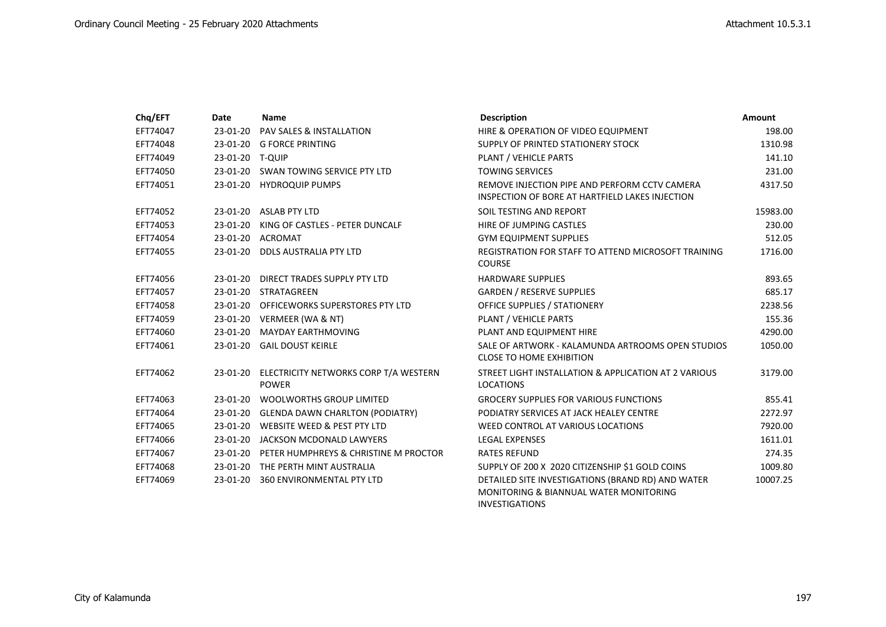| Chq/EFT  | Date            | <b>Name</b>                                                    | <b>Description</b>                                                                                                              | <b>Amount</b> |
|----------|-----------------|----------------------------------------------------------------|---------------------------------------------------------------------------------------------------------------------------------|---------------|
| EFT74047 | 23-01-20        | PAV SALES & INSTALLATION                                       | HIRE & OPERATION OF VIDEO EQUIPMENT                                                                                             | 198.00        |
| EFT74048 | 23-01-20        | <b>G FORCE PRINTING</b>                                        | SUPPLY OF PRINTED STATIONERY STOCK                                                                                              | 1310.98       |
| EFT74049 | 23-01-20 T-QUIP |                                                                | PLANT / VEHICLE PARTS                                                                                                           | 141.10        |
| EFT74050 |                 | 23-01-20 SWAN TOWING SERVICE PTY LTD                           | <b>TOWING SERVICES</b>                                                                                                          | 231.00        |
| EFT74051 |                 | 23-01-20 HYDROQUIP PUMPS                                       | REMOVE INJECTION PIPE AND PERFORM CCTV CAMERA<br>INSPECTION OF BORE AT HARTFIELD LAKES INJECTION                                | 4317.50       |
| EFT74052 |                 | 23-01-20 ASLAB PTY LTD                                         | SOIL TESTING AND REPORT                                                                                                         | 15983.00      |
| EFT74053 | 23-01-20        | KING OF CASTLES - PETER DUNCALF                                | HIRE OF JUMPING CASTLES                                                                                                         | 230.00        |
| EFT74054 |                 | 23-01-20 ACROMAT                                               | <b>GYM EQUIPMENT SUPPLIES</b>                                                                                                   | 512.05        |
| EFT74055 |                 | 23-01-20 DDLS AUSTRALIA PTY LTD                                | REGISTRATION FOR STAFF TO ATTEND MICROSOFT TRAINING<br><b>COURSE</b>                                                            | 1716.00       |
| EFT74056 |                 | 23-01-20 DIRECT TRADES SUPPLY PTY LTD                          | <b>HARDWARE SUPPLIES</b>                                                                                                        | 893.65        |
| EFT74057 |                 | 23-01-20 STRATAGREEN                                           | <b>GARDEN / RESERVE SUPPLIES</b>                                                                                                | 685.17        |
| EFT74058 | 23-01-20        | OFFICEWORKS SUPERSTORES PTY LTD                                | OFFICE SUPPLIES / STATIONERY                                                                                                    | 2238.56       |
| EFT74059 |                 | 23-01-20 VERMEER (WA & NT)                                     | PLANT / VEHICLE PARTS                                                                                                           | 155.36        |
| EFT74060 | 23-01-20        | <b>MAYDAY EARTHMOVING</b>                                      | PLANT AND EQUIPMENT HIRE                                                                                                        | 4290.00       |
| EFT74061 | 23-01-20        | <b>GAIL DOUST KEIRLE</b>                                       | SALE OF ARTWORK - KALAMUNDA ARTROOMS OPEN STUDIOS<br><b>CLOSE TO HOME EXHIBITION</b>                                            | 1050.00       |
| EFT74062 |                 | 23-01-20 ELECTRICITY NETWORKS CORP T/A WESTERN<br><b>POWER</b> | STREET LIGHT INSTALLATION & APPLICATION AT 2 VARIOUS<br><b>LOCATIONS</b>                                                        | 3179.00       |
| EFT74063 | 23-01-20        | <b>WOOLWORTHS GROUP LIMITED</b>                                | <b>GROCERY SUPPLIES FOR VARIOUS FUNCTIONS</b>                                                                                   | 855.41        |
| EFT74064 | 23-01-20        | <b>GLENDA DAWN CHARLTON (PODIATRY)</b>                         | PODIATRY SERVICES AT JACK HEALEY CENTRE                                                                                         | 2272.97       |
| EFT74065 | 23-01-20        | WEBSITE WEED & PEST PTY LTD                                    | WEED CONTROL AT VARIOUS LOCATIONS                                                                                               | 7920.00       |
| EFT74066 | 23-01-20        | JACKSON MCDONALD LAWYERS                                       | <b>LEGAL EXPENSES</b>                                                                                                           | 1611.01       |
| EFT74067 | 23-01-20        | PETER HUMPHREYS & CHRISTINE M PROCTOR                          | <b>RATES REFUND</b>                                                                                                             | 274.35        |
| EFT74068 |                 | 23-01-20 THE PERTH MINT AUSTRALIA                              | SUPPLY OF 200 X 2020 CITIZENSHIP \$1 GOLD COINS                                                                                 | 1009.80       |
| EFT74069 |                 | 23-01-20 360 ENVIRONMENTAL PTY LTD                             | DETAILED SITE INVESTIGATIONS (BRAND RD) AND WATER<br><b>MONITORING &amp; BIANNUAL WATER MONITORING</b><br><b>INVESTIGATIONS</b> | 10007.25      |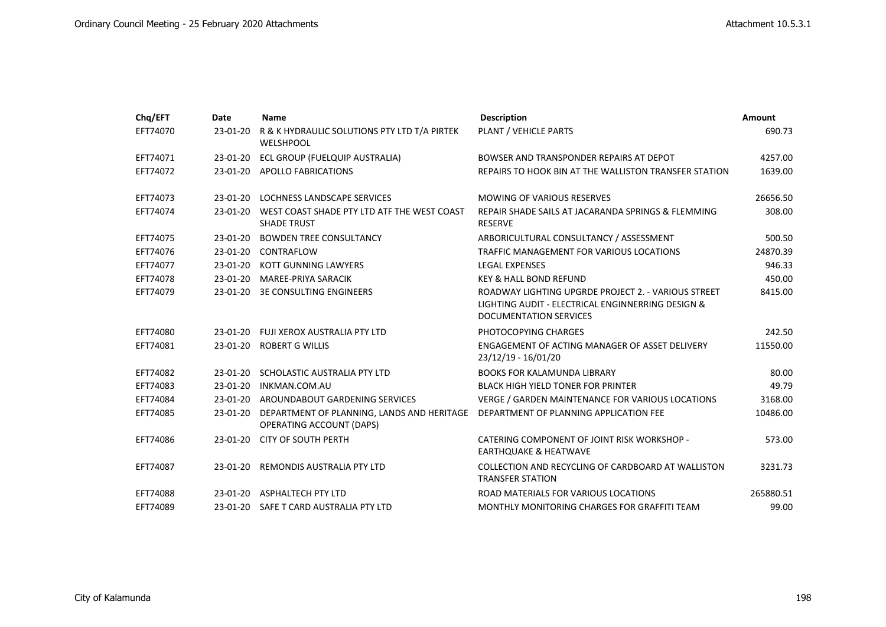| Chq/EFT  | Date       | <b>Name</b>                                                                            | <b>Description</b>                                                                                                                        | <b>Amount</b> |
|----------|------------|----------------------------------------------------------------------------------------|-------------------------------------------------------------------------------------------------------------------------------------------|---------------|
| EFT74070 | 23-01-20   | R & K HYDRAULIC SOLUTIONS PTY LTD T/A PIRTEK<br><b>WELSHPOOL</b>                       | PLANT / VEHICLE PARTS                                                                                                                     | 690.73        |
| EFT74071 | 23-01-20   | ECL GROUP (FUELQUIP AUSTRALIA)                                                         | BOWSER AND TRANSPONDER REPAIRS AT DEPOT                                                                                                   | 4257.00       |
| EFT74072 |            | 23-01-20 APOLLO FABRICATIONS                                                           | REPAIRS TO HOOK BIN AT THE WALLISTON TRANSFER STATION                                                                                     | 1639.00       |
| EFT74073 | $23-01-20$ | LOCHNESS LANDSCAPE SERVICES                                                            | <b>MOWING OF VARIOUS RESERVES</b>                                                                                                         | 26656.50      |
| EFT74074 | 23-01-20   | WEST COAST SHADE PTY LTD ATF THE WEST COAST<br><b>SHADE TRUST</b>                      | REPAIR SHADE SAILS AT JACARANDA SPRINGS & FLEMMING<br><b>RESERVE</b>                                                                      | 308.00        |
| EFT74075 | 23-01-20   | <b>BOWDEN TREE CONSULTANCY</b>                                                         | ARBORICULTURAL CONSULTANCY / ASSESSMENT                                                                                                   | 500.50        |
| EFT74076 | 23-01-20   | CONTRAFLOW                                                                             | TRAFFIC MANAGEMENT FOR VARIOUS LOCATIONS                                                                                                  | 24870.39      |
| EFT74077 | 23-01-20   | <b>KOTT GUNNING LAWYERS</b>                                                            | <b>LEGAL EXPENSES</b>                                                                                                                     | 946.33        |
| EFT74078 |            | 23-01-20 MAREE-PRIYA SARACIK                                                           | <b>KEY &amp; HALL BOND REFUND</b>                                                                                                         | 450.00        |
| EFT74079 |            | 23-01-20 3E CONSULTING ENGINEERS                                                       | ROADWAY LIGHTING UPGRDE PROJECT 2. - VARIOUS STREET<br>LIGHTING AUDIT - ELECTRICAL ENGINNERRING DESIGN &<br><b>DOCUMENTATION SERVICES</b> | 8415.00       |
| EFT74080 |            | 23-01-20 FUJI XEROX AUSTRALIA PTY LTD                                                  | PHOTOCOPYING CHARGES                                                                                                                      | 242.50        |
| EFT74081 |            | 23-01-20 ROBERT G WILLIS                                                               | ENGAGEMENT OF ACTING MANAGER OF ASSET DELIVERY<br>23/12/19 - 16/01/20                                                                     | 11550.00      |
| EFT74082 | 23-01-20   | SCHOLASTIC AUSTRALIA PTY LTD                                                           | <b>BOOKS FOR KALAMUNDA LIBRARY</b>                                                                                                        | 80.00         |
| EFT74083 | $23-01-20$ | INKMAN.COM.AU                                                                          | <b>BLACK HIGH YIELD TONER FOR PRINTER</b>                                                                                                 | 49.79         |
| EFT74084 |            | 23-01-20 AROUNDABOUT GARDENING SERVICES                                                | VERGE / GARDEN MAINTENANCE FOR VARIOUS LOCATIONS                                                                                          | 3168.00       |
| EFT74085 |            | 23-01-20 DEPARTMENT OF PLANNING, LANDS AND HERITAGE<br><b>OPERATING ACCOUNT (DAPS)</b> | DEPARTMENT OF PLANNING APPLICATION FEE                                                                                                    | 10486.00      |
| EFT74086 |            | 23-01-20 CITY OF SOUTH PERTH                                                           | CATERING COMPONENT OF JOINT RISK WORKSHOP -<br><b>EARTHQUAKE &amp; HEATWAVE</b>                                                           | 573.00        |
| EFT74087 | 23-01-20   | REMONDIS AUSTRALIA PTY LTD                                                             | COLLECTION AND RECYCLING OF CARDBOARD AT WALLISTON<br><b>TRANSFER STATION</b>                                                             | 3231.73       |
| EFT74088 |            | 23-01-20 ASPHALTECH PTY LTD                                                            | ROAD MATERIALS FOR VARIOUS LOCATIONS                                                                                                      | 265880.51     |
| EFT74089 |            | 23-01-20 SAFE T CARD AUSTRALIA PTY LTD                                                 | MONTHLY MONITORING CHARGES FOR GRAFFITI TEAM                                                                                              | 99.00         |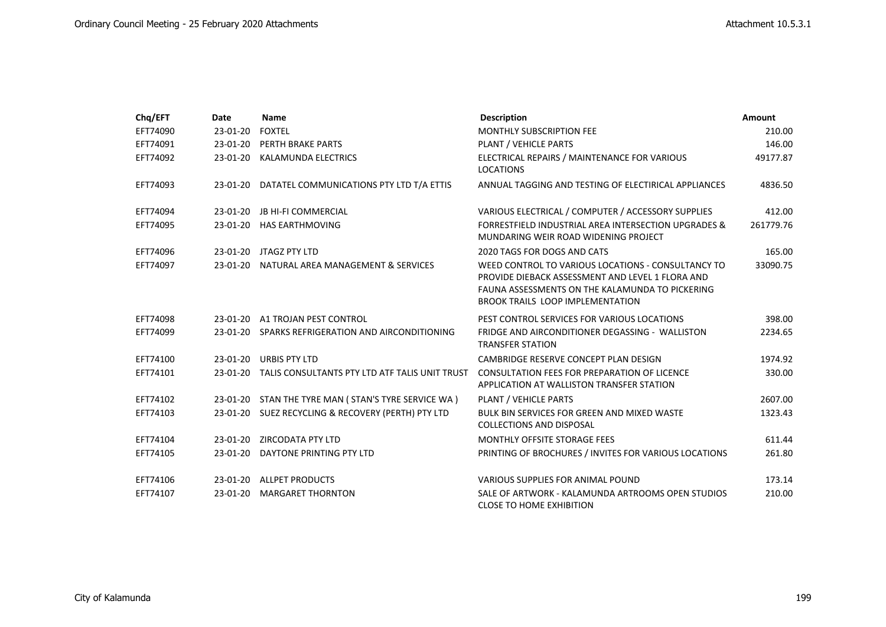| Chq/EFT  | Date       | <b>Name</b>                                             | <b>Description</b>                                                                                                                                                                                   | Amount    |
|----------|------------|---------------------------------------------------------|------------------------------------------------------------------------------------------------------------------------------------------------------------------------------------------------------|-----------|
| EFT74090 | 23-01-20   | <b>FOXTEL</b>                                           | <b>MONTHLY SUBSCRIPTION FEE</b>                                                                                                                                                                      | 210.00    |
| EFT74091 | 23-01-20   | PERTH BRAKE PARTS                                       | PLANT / VEHICLE PARTS                                                                                                                                                                                | 146.00    |
| EFT74092 | 23-01-20   | KALAMUNDA ELECTRICS                                     | ELECTRICAL REPAIRS / MAINTENANCE FOR VARIOUS<br><b>LOCATIONS</b>                                                                                                                                     | 49177.87  |
| EFT74093 |            | 23-01-20 DATATEL COMMUNICATIONS PTY LTD T/A ETTIS       | ANNUAL TAGGING AND TESTING OF ELECTIRICAL APPLIANCES                                                                                                                                                 | 4836.50   |
| EFT74094 | 23-01-20   | <b>JB HI-FI COMMERCIAL</b>                              | VARIOUS ELECTRICAL / COMPUTER / ACCESSORY SUPPLIES                                                                                                                                                   | 412.00    |
| EFT74095 |            | 23-01-20 HAS EARTHMOVING                                | FORRESTFIELD INDUSTRIAL AREA INTERSECTION UPGRADES &<br>MUNDARING WEIR ROAD WIDENING PROJECT                                                                                                         | 261779.76 |
| EFT74096 |            | 23-01-20 JTAGZ PTY LTD                                  | 2020 TAGS FOR DOGS AND CATS                                                                                                                                                                          | 165.00    |
| EFT74097 |            | 23-01-20 NATURAL AREA MANAGEMENT & SERVICES             | WEED CONTROL TO VARIOUS LOCATIONS - CONSULTANCY TO<br>PROVIDE DIEBACK ASSESSMENT AND LEVEL 1 FLORA AND<br>FAUNA ASSESSMENTS ON THE KALAMUNDA TO PICKERING<br><b>BROOK TRAILS LOOP IMPLEMENTATION</b> | 33090.75  |
| EFT74098 |            | 23-01-20 A1 TROJAN PEST CONTROL                         | PEST CONTROL SERVICES FOR VARIOUS LOCATIONS                                                                                                                                                          | 398.00    |
| EFT74099 |            | 23-01-20 SPARKS REFRIGERATION AND AIRCONDITIONING       | FRIDGE AND AIRCONDITIONER DEGASSING - WALLISTON<br><b>TRANSFER STATION</b>                                                                                                                           | 2234.65   |
| EFT74100 | 23-01-20   | <b>URBIS PTY LTD</b>                                    | CAMBRIDGE RESERVE CONCEPT PLAN DESIGN                                                                                                                                                                | 1974.92   |
| EFT74101 |            | 23-01-20 TALIS CONSULTANTS PTY LTD ATF TALIS UNIT TRUST | CONSULTATION FEES FOR PREPARATION OF LICENCE<br>APPLICATION AT WALLISTON TRANSFER STATION                                                                                                            | 330.00    |
| EFT74102 |            | 23-01-20 STAN THE TYRE MAN (STAN'S TYRE SERVICE WA)     | PLANT / VEHICLE PARTS                                                                                                                                                                                | 2607.00   |
| EFT74103 |            | 23-01-20 SUEZ RECYCLING & RECOVERY (PERTH) PTY LTD      | <b>BULK BIN SERVICES FOR GREEN AND MIXED WASTE</b><br><b>COLLECTIONS AND DISPOSAL</b>                                                                                                                | 1323.43   |
| EFT74104 |            | 23-01-20 ZIRCODATA PTY LTD                              | MONTHLY OFFSITE STORAGE FEES                                                                                                                                                                         | 611.44    |
| EFT74105 | 23-01-20   | DAYTONE PRINTING PTY LTD                                | PRINTING OF BROCHURES / INVITES FOR VARIOUS LOCATIONS                                                                                                                                                | 261.80    |
| EFT74106 |            | 23-01-20 ALLPET PRODUCTS                                | VARIOUS SUPPLIES FOR ANIMAL POUND                                                                                                                                                                    | 173.14    |
| EFT74107 | $23-01-20$ | <b>MARGARET THORNTON</b>                                | SALE OF ARTWORK - KALAMUNDA ARTROOMS OPEN STUDIOS<br><b>CLOSE TO HOME EXHIBITION</b>                                                                                                                 | 210.00    |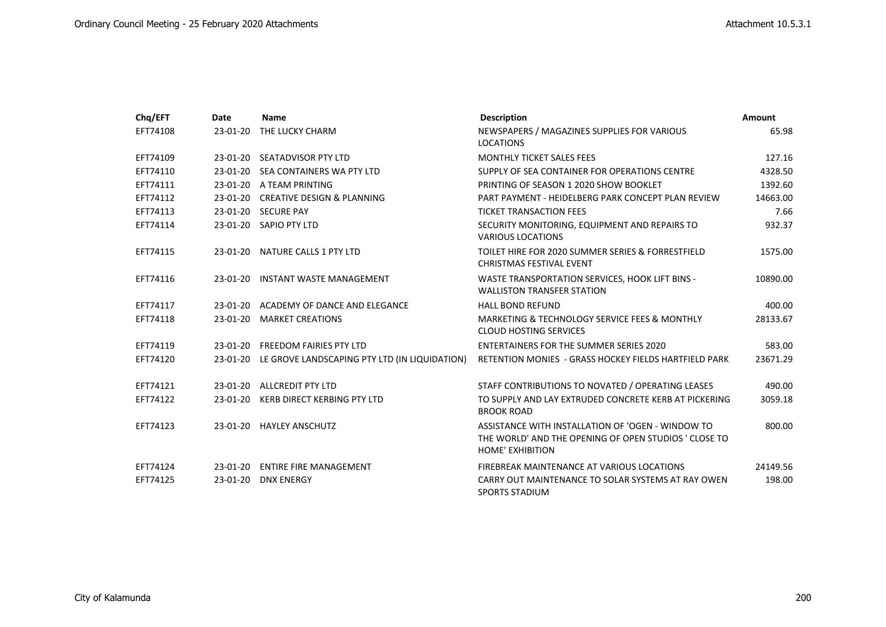| Chq/EFT  | Date     | <b>Name</b>                                            | <b>Description</b>                                                                                                                    | <b>Amount</b> |
|----------|----------|--------------------------------------------------------|---------------------------------------------------------------------------------------------------------------------------------------|---------------|
| EFT74108 |          | 23-01-20 THE LUCKY CHARM                               | NEWSPAPERS / MAGAZINES SUPPLIES FOR VARIOUS<br><b>LOCATIONS</b>                                                                       | 65.98         |
| EFT74109 |          | 23-01-20 SEATADVISOR PTY LTD                           | MONTHLY TICKET SALES FEES                                                                                                             | 127.16        |
| EFT74110 |          | 23-01-20 SEA CONTAINERS WA PTY LTD                     | SUPPLY OF SEA CONTAINER FOR OPERATIONS CENTRE                                                                                         | 4328.50       |
| EFT74111 |          | 23-01-20 A TEAM PRINTING                               | PRINTING OF SEASON 1 2020 SHOW BOOKLET                                                                                                | 1392.60       |
| EFT74112 |          | 23-01-20 CREATIVE DESIGN & PLANNING                    | PART PAYMENT - HEIDELBERG PARK CONCEPT PLAN REVIEW                                                                                    | 14663.00      |
| EFT74113 |          | 23-01-20 SECURE PAY                                    | <b>TICKET TRANSACTION FEES</b>                                                                                                        | 7.66          |
| EFT74114 |          | 23-01-20 SAPIO PTY LTD                                 | SECURITY MONITORING, EQUIPMENT AND REPAIRS TO<br><b>VARIOUS LOCATIONS</b>                                                             | 932.37        |
| EFT74115 |          | 23-01-20 NATURE CALLS 1 PTY LTD                        | TOILET HIRE FOR 2020 SUMMER SERIES & FORRESTFIELD<br><b>CHRISTMAS FESTIVAL EVENT</b>                                                  | 1575.00       |
| EFT74116 | 23-01-20 | INSTANT WASTE MANAGEMENT                               | WASTE TRANSPORTATION SERVICES, HOOK LIFT BINS -<br><b>WALLISTON TRANSFER STATION</b>                                                  | 10890.00      |
| EFT74117 |          | 23-01-20 ACADEMY OF DANCE AND ELEGANCE                 | <b>HALL BOND REFUND</b>                                                                                                               | 400.00        |
| EFT74118 | 23-01-20 | <b>MARKET CREATIONS</b>                                | MARKETING & TECHNOLOGY SERVICE FEES & MONTHLY<br><b>CLOUD HOSTING SERVICES</b>                                                        | 28133.67      |
| EFT74119 |          | 23-01-20 FREEDOM FAIRIES PTY LTD                       | <b>ENTERTAINERS FOR THE SUMMER SERIES 2020</b>                                                                                        | 583.00        |
| EFT74120 |          | 23-01-20 LE GROVE LANDSCAPING PTY LTD (IN LIQUIDATION) | RETENTION MONIES - GRASS HOCKEY FIELDS HARTFIELD PARK                                                                                 | 23671.29      |
| EFT74121 |          | 23-01-20 ALLCREDIT PTY LTD                             | STAFF CONTRIBUTIONS TO NOVATED / OPERATING LEASES                                                                                     | 490.00        |
| EFT74122 | 23-01-20 | KERB DIRECT KERBING PTY LTD                            | TO SUPPLY AND LAY EXTRUDED CONCRETE KERB AT PICKERING<br><b>BROOK ROAD</b>                                                            | 3059.18       |
| EFT74123 |          | 23-01-20 HAYLEY ANSCHUTZ                               | ASSISTANCE WITH INSTALLATION OF 'OGEN - WINDOW TO<br>THE WORLD' AND THE OPENING OF OPEN STUDIOS ' CLOSE TO<br><b>HOME' EXHIBITION</b> | 800.00        |
| EFT74124 |          | 23-01-20 ENTIRE FIRE MANAGEMENT                        | FIREBREAK MAINTENANCE AT VARIOUS LOCATIONS                                                                                            | 24149.56      |
| EFT74125 | 23-01-20 | <b>DNX ENERGY</b>                                      | CARRY OUT MAINTENANCE TO SOLAR SYSTEMS AT RAY OWEN<br><b>SPORTS STADIUM</b>                                                           | 198.00        |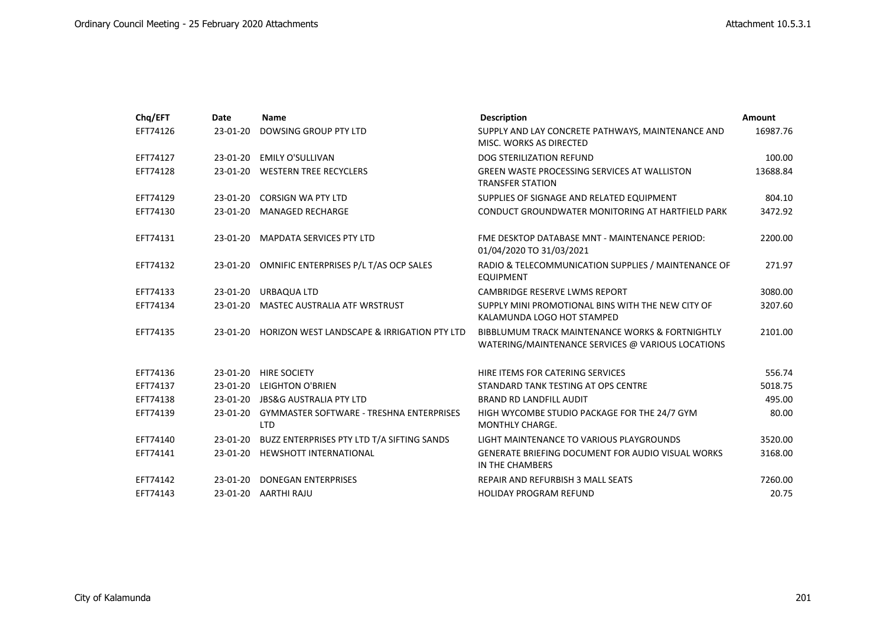| Chq/EFT  | Date       | Name                                                          | <b>Description</b>                                                                                   | Amount   |
|----------|------------|---------------------------------------------------------------|------------------------------------------------------------------------------------------------------|----------|
| EFT74126 | 23-01-20   | DOWSING GROUP PTY LTD                                         | SUPPLY AND LAY CONCRETE PATHWAYS, MAINTENANCE AND<br>MISC. WORKS AS DIRECTED                         | 16987.76 |
| EFT74127 | 23-01-20   | <b>EMILY O'SULLIVAN</b>                                       | <b>DOG STERILIZATION REFUND</b>                                                                      | 100.00   |
| EFT74128 |            | 23-01-20 WESTERN TREE RECYCLERS                               | <b>GREEN WASTE PROCESSING SERVICES AT WALLISTON</b><br><b>TRANSFER STATION</b>                       | 13688.84 |
| EFT74129 | 23-01-20   | <b>CORSIGN WA PTY LTD</b>                                     | SUPPLIES OF SIGNAGE AND RELATED EQUIPMENT                                                            | 804.10   |
| EFT74130 |            | 23-01-20 MANAGED RECHARGE                                     | CONDUCT GROUNDWATER MONITORING AT HARTFIELD PARK                                                     | 3472.92  |
| EFT74131 | 23-01-20   | <b>MAPDATA SERVICES PTY LTD</b>                               | FME DESKTOP DATABASE MNT - MAINTENANCE PERIOD:<br>01/04/2020 TO 31/03/2021                           | 2200.00  |
| EFT74132 |            | 23-01-20 OMNIFIC ENTERPRISES P/L T/AS OCP SALES               | RADIO & TELECOMMUNICATION SUPPLIES / MAINTENANCE OF<br><b>EQUIPMENT</b>                              | 271.97   |
| EFT74133 | 23-01-20   | URBAQUA LTD                                                   | <b>CAMBRIDGE RESERVE LWMS REPORT</b>                                                                 | 3080.00  |
| EFT74134 | 23-01-20   | <b>MASTEC AUSTRALIA ATF WRSTRUST</b>                          | SUPPLY MINI PROMOTIONAL BINS WITH THE NEW CITY OF<br>KALAMUNDA LOGO HOT STAMPED                      | 3207.60  |
| EFT74135 | 23-01-20   | HORIZON WEST LANDSCAPE & IRRIGATION PTY LTD                   | BIBBLUMUM TRACK MAINTENANCE WORKS & FORTNIGHTLY<br>WATERING/MAINTENANCE SERVICES @ VARIOUS LOCATIONS | 2101.00  |
| EFT74136 | 23-01-20   | <b>HIRE SOCIETY</b>                                           | HIRE ITEMS FOR CATERING SERVICES                                                                     | 556.74   |
| EFT74137 | $23-01-20$ | <b>LEIGHTON O'BRIEN</b>                                       | STANDARD TANK TESTING AT OPS CENTRE                                                                  | 5018.75  |
| EFT74138 |            | 23-01-20 JBS&G AUSTRALIA PTY LTD                              | <b>BRAND RD LANDFILL AUDIT</b>                                                                       | 495.00   |
| EFT74139 | 23-01-20   | <b>GYMMASTER SOFTWARE - TRESHNA ENTERPRISES</b><br><b>LTD</b> | HIGH WYCOMBE STUDIO PACKAGE FOR THE 24/7 GYM<br><b>MONTHLY CHARGE.</b>                               | 80.00    |
| EFT74140 | 23-01-20   | BUZZ ENTERPRISES PTY LTD T/A SIFTING SANDS                    | LIGHT MAINTENANCE TO VARIOUS PLAYGROUNDS                                                             | 3520.00  |
| EFT74141 | 23-01-20   | <b>HEWSHOTT INTERNATIONAL</b>                                 | <b>GENERATE BRIEFING DOCUMENT FOR AUDIO VISUAL WORKS</b><br>IN THE CHAMBERS                          | 3168.00  |
| EFT74142 | 23-01-20   | <b>DONEGAN ENTERPRISES</b>                                    | REPAIR AND REFURBISH 3 MALL SEATS                                                                    | 7260.00  |
| EFT74143 | 23-01-20   | AARTHI RAJU                                                   | <b>HOLIDAY PROGRAM REFUND</b>                                                                        | 20.75    |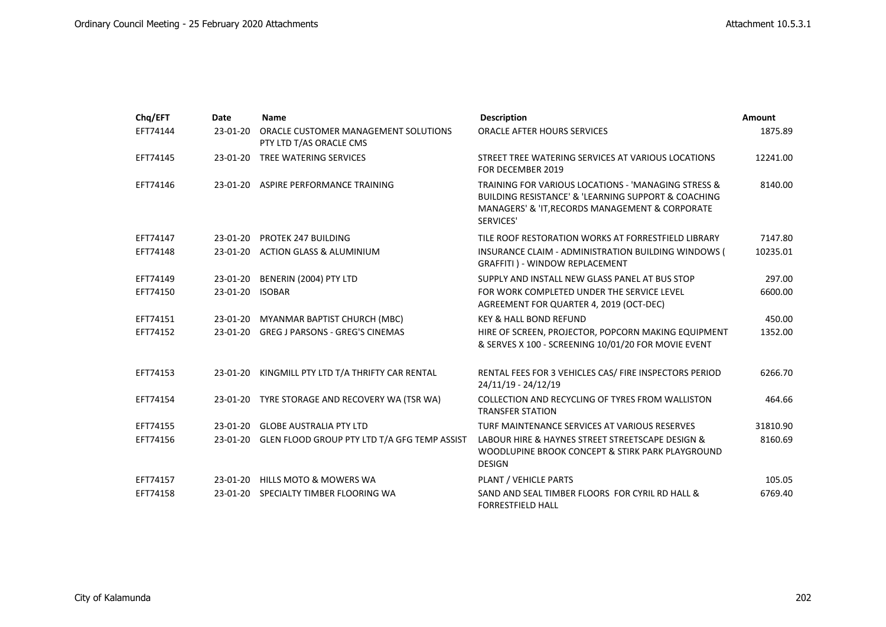| Chq/EFT  | <b>Date</b>     | <b>Name</b>                                                     | <b>Description</b>                                                                                                                                                                        | Amount   |
|----------|-----------------|-----------------------------------------------------------------|-------------------------------------------------------------------------------------------------------------------------------------------------------------------------------------------|----------|
| EFT74144 | 23-01-20        | ORACLE CUSTOMER MANAGEMENT SOLUTIONS<br>PTY LTD T/AS ORACLE CMS | ORACLE AFTER HOURS SERVICES                                                                                                                                                               | 1875.89  |
| EFT74145 | $23-01-20$      | TREE WATERING SERVICES                                          | STREET TREE WATERING SERVICES AT VARIOUS LOCATIONS<br>FOR DECEMBER 2019                                                                                                                   | 12241.00 |
| EFT74146 |                 | 23-01-20 ASPIRE PERFORMANCE TRAINING                            | TRAINING FOR VARIOUS LOCATIONS - 'MANAGING STRESS &<br><b>BUILDING RESISTANCE' &amp; 'LEARNING SUPPORT &amp; COACHING</b><br>MANAGERS' & 'IT, RECORDS MANAGEMENT & CORPORATE<br>SERVICES' | 8140.00  |
| EFT74147 |                 | 23-01-20 PROTEK 247 BUILDING                                    | TILE ROOF RESTORATION WORKS AT FORRESTFIELD LIBRARY                                                                                                                                       | 7147.80  |
| EFT74148 |                 | 23-01-20 ACTION GLASS & ALUMINIUM                               | INSURANCE CLAIM - ADMINISTRATION BUILDING WINDOWS (<br>GRAFFITI ) - WINDOW REPLACEMENT                                                                                                    | 10235.01 |
| EFT74149 |                 | 23-01-20 BENERIN (2004) PTY LTD                                 | SUPPLY AND INSTALL NEW GLASS PANEL AT BUS STOP                                                                                                                                            | 297.00   |
| EFT74150 | 23-01-20 ISOBAR |                                                                 | FOR WORK COMPLETED UNDER THE SERVICE LEVEL<br>AGREEMENT FOR QUARTER 4, 2019 (OCT-DEC)                                                                                                     | 6600.00  |
| EFT74151 |                 | 23-01-20 MYANMAR BAPTIST CHURCH (MBC)                           | <b>KEY &amp; HALL BOND REFUND</b>                                                                                                                                                         | 450.00   |
| EFT74152 |                 | 23-01-20 GREG J PARSONS - GREG'S CINEMAS                        | HIRE OF SCREEN, PROJECTOR, POPCORN MAKING EQUIPMENT<br>& SERVES X 100 - SCREENING 10/01/20 FOR MOVIE EVENT                                                                                | 1352.00  |
| EFT74153 | 23-01-20        | KINGMILL PTY LTD T/A THRIFTY CAR RENTAL                         | RENTAL FEES FOR 3 VEHICLES CAS/ FIRE INSPECTORS PERIOD<br>24/11/19 - 24/12/19                                                                                                             | 6266.70  |
| EFT74154 |                 | 23-01-20 TYRE STORAGE AND RECOVERY WA (TSR WA)                  | COLLECTION AND RECYCLING OF TYRES FROM WALLISTON<br><b>TRANSFER STATION</b>                                                                                                               | 464.66   |
| EFT74155 |                 | 23-01-20 GLOBE AUSTRALIA PTY LTD                                | TURF MAINTENANCE SERVICES AT VARIOUS RESERVES                                                                                                                                             | 31810.90 |
| EFT74156 |                 | 23-01-20 GLEN FLOOD GROUP PTY LTD T/A GFG TEMP ASSIST           | LABOUR HIRE & HAYNES STREET STREETSCAPE DESIGN &<br>WOODLUPINE BROOK CONCEPT & STIRK PARK PLAYGROUND<br><b>DESIGN</b>                                                                     | 8160.69  |
| EFT74157 |                 | 23-01-20 HILLS MOTO & MOWERS WA                                 | PLANT / VEHICLE PARTS                                                                                                                                                                     | 105.05   |
| EFT74158 |                 | 23-01-20 SPECIALTY TIMBER FLOORING WA                           | SAND AND SEAL TIMBER FLOORS FOR CYRIL RD HALL &<br><b>FORRESTFIELD HALL</b>                                                                                                               | 6769.40  |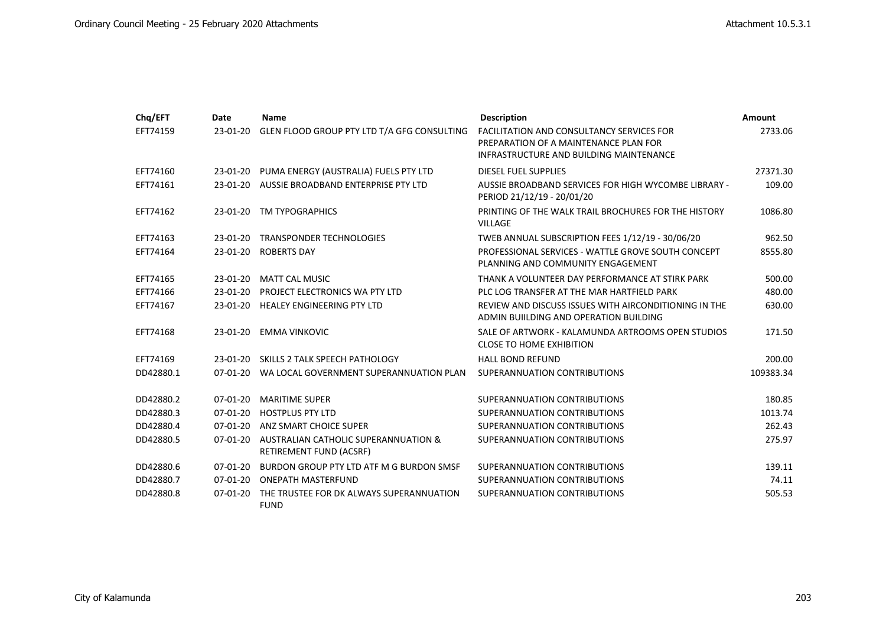| Chq/EFT   | <b>Date</b> | <b>Name</b>                                                     | <b>Description</b>                                                                                                                   | <b>Amount</b> |
|-----------|-------------|-----------------------------------------------------------------|--------------------------------------------------------------------------------------------------------------------------------------|---------------|
| EFT74159  | 23-01-20    | GLEN FLOOD GROUP PTY LTD T/A GFG CONSULTING                     | <b>FACILITATION AND CONSULTANCY SERVICES FOR</b><br>PREPARATION OF A MAINTENANCE PLAN FOR<br>INFRASTRUCTURE AND BUILDING MAINTENANCE | 2733.06       |
| EFT74160  |             | 23-01-20 PUMA ENERGY (AUSTRALIA) FUELS PTY LTD                  | <b>DIESEL FUEL SUPPLIES</b>                                                                                                          | 27371.30      |
| EFT74161  |             | 23-01-20 AUSSIE BROADBAND ENTERPRISE PTY LTD                    | AUSSIE BROADBAND SERVICES FOR HIGH WYCOMBE LIBRARY -<br>PERIOD 21/12/19 - 20/01/20                                                   | 109.00        |
| EFT74162  |             | 23-01-20 TM TYPOGRAPHICS                                        | PRINTING OF THE WALK TRAIL BROCHURES FOR THE HISTORY<br><b>VILLAGE</b>                                                               | 1086.80       |
| EFT74163  | 23-01-20    | TRANSPONDER TECHNOLOGIES                                        | TWEB ANNUAL SUBSCRIPTION FEES 1/12/19 - 30/06/20                                                                                     | 962.50        |
| EFT74164  | 23-01-20    | <b>ROBERTS DAY</b>                                              | PROFESSIONAL SERVICES - WATTLE GROVE SOUTH CONCEPT<br>PLANNING AND COMMUNITY ENGAGEMENT                                              | 8555.80       |
| EFT74165  | 23-01-20    | <b>MATT CAL MUSIC</b>                                           | THANK A VOLUNTEER DAY PERFORMANCE AT STIRK PARK                                                                                      | 500.00        |
| EFT74166  | $23-01-20$  | PROJECT ELECTRONICS WA PTY LTD                                  | PLC LOG TRANSFER AT THE MAR HARTFIELD PARK                                                                                           | 480.00        |
| EFT74167  | 23-01-20    | <b>HEALEY ENGINEERING PTY LTD</b>                               | REVIEW AND DISCUSS ISSUES WITH AIRCONDITIONING IN THE<br>ADMIN BUILDING AND OPERATION BUILDING                                       | 630.00        |
| EFT74168  | 23-01-20    | <b>EMMA VINKOVIC</b>                                            | SALE OF ARTWORK - KALAMUNDA ARTROOMS OPEN STUDIOS<br><b>CLOSE TO HOME EXHIBITION</b>                                                 | 171.50        |
| EFT74169  | 23-01-20    | SKILLS 2 TALK SPEECH PATHOLOGY                                  | <b>HALL BOND REFUND</b>                                                                                                              | 200.00        |
| DD42880.1 |             | 07-01-20 WA LOCAL GOVERNMENT SUPERANNUATION PLAN                | SUPERANNUATION CONTRIBUTIONS                                                                                                         | 109383.34     |
| DD42880.2 | $07-01-20$  | <b>MARITIME SUPER</b>                                           | SUPERANNUATION CONTRIBUTIONS                                                                                                         | 180.85        |
| DD42880.3 | $07-01-20$  | <b>HOSTPLUS PTY LTD</b>                                         | SUPERANNUATION CONTRIBUTIONS                                                                                                         | 1013.74       |
| DD42880.4 | $07-01-20$  | ANZ SMART CHOICE SUPER                                          | SUPERANNUATION CONTRIBUTIONS                                                                                                         | 262.43        |
| DD42880.5 | $07-01-20$  | AUSTRALIAN CATHOLIC SUPERANNUATION &<br>RETIREMENT FUND (ACSRF) | SUPERANNUATION CONTRIBUTIONS                                                                                                         | 275.97        |
| DD42880.6 | $07-01-20$  | BURDON GROUP PTY LTD ATF M G BURDON SMSF                        | SUPERANNUATION CONTRIBUTIONS                                                                                                         | 139.11        |
| DD42880.7 | 07-01-20    | <b>ONEPATH MASTERFUND</b>                                       | SUPERANNUATION CONTRIBUTIONS                                                                                                         | 74.11         |
| DD42880.8 | $07-01-20$  | THE TRUSTEE FOR DK ALWAYS SUPERANNUATION<br><b>FUND</b>         | SUPERANNUATION CONTRIBUTIONS                                                                                                         | 505.53        |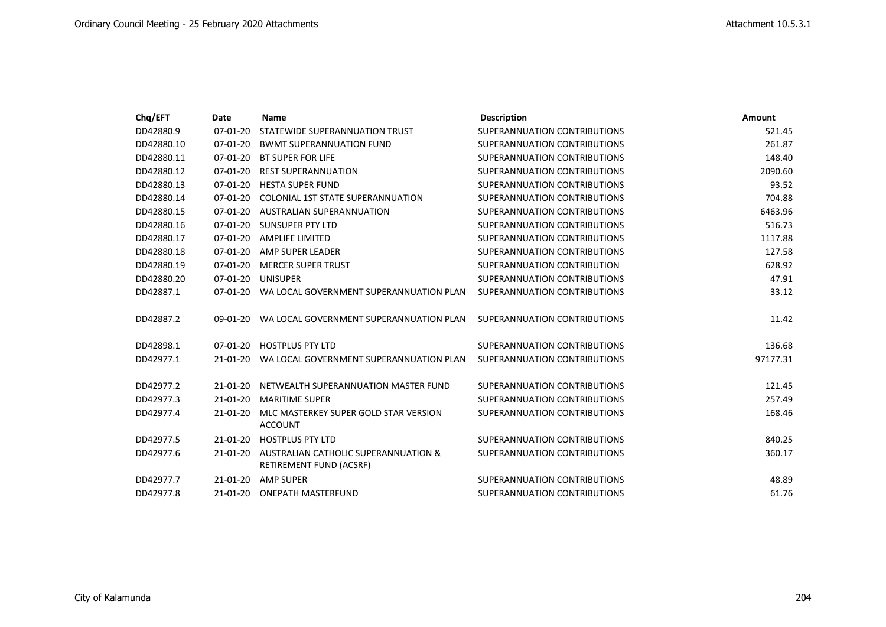| Chq/EFT    | Date           | <b>Name</b>                              | <b>Description</b>           | <b>Amount</b> |
|------------|----------------|------------------------------------------|------------------------------|---------------|
| DD42880.9  | $07 - 01 - 20$ | STATEWIDE SUPERANNUATION TRUST           | SUPERANNUATION CONTRIBUTIONS | 521.45        |
| DD42880.10 | $07-01-20$     | <b>BWMT SUPERANNUATION FUND</b>          | SUPERANNUATION CONTRIBUTIONS | 261.87        |
| DD42880.11 | $07 - 01 - 20$ | <b>BT SUPER FOR LIFE</b>                 | SUPERANNUATION CONTRIBUTIONS | 148.40        |
| DD42880.12 | $07 - 01 - 20$ | <b>REST SUPERANNUATION</b>               | SUPERANNUATION CONTRIBUTIONS | 2090.60       |
| DD42880.13 | $07 - 01 - 20$ | <b>HESTA SUPER FUND</b>                  | SUPERANNUATION CONTRIBUTIONS | 93.52         |
| DD42880.14 | $07 - 01 - 20$ | <b>COLONIAL 1ST STATE SUPERANNUATION</b> | SUPERANNUATION CONTRIBUTIONS | 704.88        |
| DD42880.15 | $07-01-20$     | <b>AUSTRALIAN SUPERANNUATION</b>         | SUPERANNUATION CONTRIBUTIONS | 6463.96       |
| DD42880.16 | 07-01-20       | SUNSUPER PTY LTD                         | SUPERANNUATION CONTRIBUTIONS | 516.73        |
| DD42880.17 | $07 - 01 - 20$ | AMPLIFE LIMITED                          | SUPERANNUATION CONTRIBUTIONS | 1117.88       |
| DD42880.18 | $07 - 01 - 20$ | AMP SUPER LEADER                         | SUPERANNUATION CONTRIBUTIONS | 127.58        |
| DD42880.19 | $07 - 01 - 20$ | <b>MERCER SUPER TRUST</b>                | SUPERANNUATION CONTRIBUTION  | 628.92        |
| DD42880.20 | 07-01-20       | <b>UNISUPER</b>                          | SUPERANNUATION CONTRIBUTIONS | 47.91         |
| DD42887.1  | 07-01-20       | WA LOCAL GOVERNMENT SUPERANNUATION PLAN  | SUPERANNUATION CONTRIBUTIONS | 33.12         |
|            |                |                                          |                              |               |
| DD42887.2  | 09-01-20       | WA LOCAL GOVERNMENT SUPERANNUATION PLAN  | SUPERANNUATION CONTRIBUTIONS | 11.42         |
|            |                |                                          |                              |               |
| DD42898.1  | 07-01-20       | <b>HOSTPLUS PTY LTD</b>                  | SUPERANNUATION CONTRIBUTIONS | 136.68        |
| DD42977.1  | 21-01-20       | WA LOCAL GOVERNMENT SUPERANNUATION PLAN  | SUPERANNUATION CONTRIBUTIONS | 97177.31      |
|            |                |                                          |                              |               |
| DD42977.2  | $21 - 01 - 20$ | NETWEALTH SUPERANNUATION MASTER FUND     | SUPERANNUATION CONTRIBUTIONS | 121.45        |
| DD42977.3  | $21 - 01 - 20$ | <b>MARITIME SUPER</b>                    | SUPERANNUATION CONTRIBUTIONS | 257.49        |
| DD42977.4  | $21 - 01 - 20$ | MLC MASTERKEY SUPER GOLD STAR VERSION    | SUPERANNUATION CONTRIBUTIONS | 168.46        |
|            |                | <b>ACCOUNT</b>                           |                              |               |
| DD42977.5  | 21-01-20       | <b>HOSTPLUS PTY LTD</b>                  | SUPERANNUATION CONTRIBUTIONS | 840.25        |
| DD42977.6  | 21-01-20       | AUSTRALIAN CATHOLIC SUPERANNUATION &     | SUPERANNUATION CONTRIBUTIONS | 360.17        |
|            |                | RETIREMENT FUND (ACSRF)                  |                              |               |
| DD42977.7  | $21 - 01 - 20$ | <b>AMP SUPER</b>                         | SUPERANNUATION CONTRIBUTIONS | 48.89         |
| DD42977.8  | 21-01-20       | <b>ONEPATH MASTERFUND</b>                | SUPERANNUATION CONTRIBUTIONS | 61.76         |